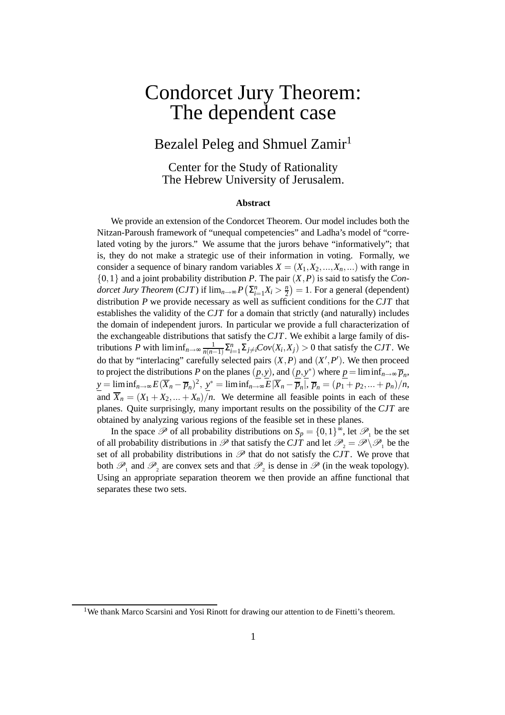# Condorcet Jury Theorem: The dependent case

# Bezalel Peleg and Shmuel Zamir<sup>1</sup>

Center for the Study of Rationality The Hebrew University of Jerusalem.

#### **Abstract**

We provide an extension of the Condorcet Theorem. Our model includes both the Nitzan-Paroush framework of "unequal competencies" and Ladha's model of "correlated voting by the jurors." We assume that the jurors behave "informatively"; that is, they do not make a strategic use of their information in voting. Formally, we consider a sequence of binary random variables  $X = (X_1, X_2, \ldots, X_n, \ldots)$  with range in {0,1} and a joint probability distribution *P*. The pair (*X*,*P*) is said to satisfy the *Condorcet Jury Theorem* (*CJT*) if  $\lim_{n\to\infty} P\left(\sum_{i=1}^{n} X_i > \frac{n}{2}\right)$  $\left(\frac{n}{2}\right) = 1$ . For a general (dependent) distribution *P* we provide necessary as well as sufficient conditions for the *CJT* that establishes the validity of the *CJT* for a domain that strictly (and naturally) includes the domain of independent jurors. In particular we provide a full characterization of the exchangeable distributions that satisfy the *CJT*. We exhibit a large family of distributions *P* with  $\liminf_{n\to\infty} \frac{1}{n(n-1)}$  $\frac{1}{n(n-1)}\sum_{i=1}^{n}\sum_{j\neq i}Cov(X_i, X_j) > 0$  that satisfy the *CJT*. We do that by "interlacing" carefully selected pairs  $(X, P)$  and  $(X', P')$ . We then proceed to project the distributions *P* on the planes  $(\underline{p}, \underline{y})$ , and  $(\underline{p}, \underline{y}^*)$  where  $\underline{p} = \liminf_{n \to \infty} \overline{p}_n$ ,  $\underline{y} = \liminf_{n \to \infty} E(\overline{X}_n - \overline{p}_n)^2$ ,  $\underline{y}^* = \liminf_{n \to \infty} E|\overline{X}_n - \overline{p}_n|$ ,  $\overline{p}_n = (p_1 + p_2, ... + p_n)/n$ , and  $\overline{X}_n = (X_1 + X_2, \dots + X_n)/n$ . We determine all feasible points in each of these planes. Quite surprisingly, many important results on the possibility of the *CJT* are obtained by analyzing various regions of the feasible set in these planes.

In the space  $\mathscr P$  of all probability distributions on  $S_p = \{0,1\}^\infty$ , let  $\mathscr P_1$  be the set of all probability distributions in  $\mathscr P$  that satisfy the *CJT* and let  $\mathscr P_2 = \mathscr P \setminus \mathscr P_1$  be the set of all probability distributions in  $\mathscr P$  that do not satisfy the *CJT*. We prove that both  $\mathscr{P}_1$  and  $\mathscr{P}_2$  are convex sets and that  $\mathscr{P}_2$  is dense in  $\mathscr{P}$  (in the weak topology). Using an appropriate separation theorem we then provide an affine functional that separates these two sets.

<sup>&</sup>lt;sup>1</sup>We thank Marco Scarsini and Yosi Rinott for drawing our attention to de Finetti's theorem.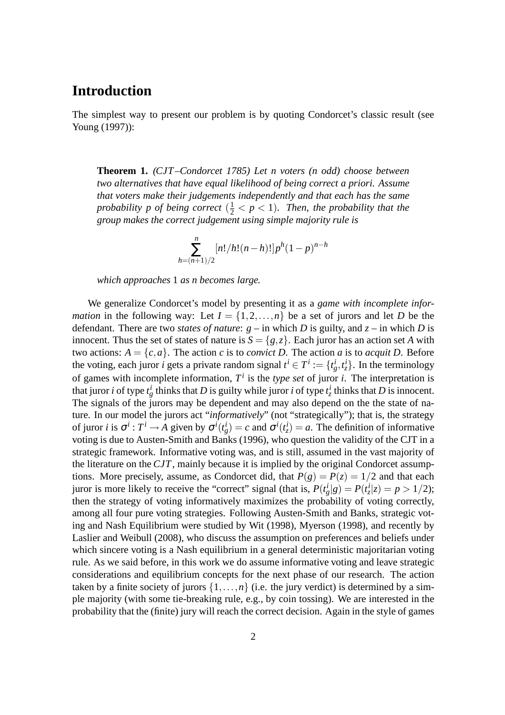# **Introduction**

The simplest way to present our problem is by quoting Condorcet's classic result (see Young (1997)):

**Theorem 1.** *(CJT –Condorcet 1785) Let n voters (n odd) choose between two alternatives that have equal likelihood of being correct a priori. Assume that voters make their judgements independently and that each has the same* probability p of being correct  $(\frac{1}{2} < p < 1)$ . Then, the probability that the *group makes the correct judgement using simple majority rule is*

$$
\sum_{h=(n+1)/2}^{n} [n!/h!(n-h)!] p^h (1-p)^{n-h}
$$

*which approaches* 1 *as n becomes large.*

We generalize Condorcet's model by presenting it as a *game with incomplete information* in the following way: Let  $I = \{1, 2, ..., n\}$  be a set of jurors and let *D* be the defendant. There are two *states of nature*: *g* – in which *D* is guilty, and *z* – in which *D* is innocent. Thus the set of states of nature is  $S = \{g, z\}$ . Each juror has an action set *A* with two actions:  $A = \{c, a\}$ . The action *c* is to *convict D*. The action *a* is to *acquit D*. Before the voting, each juror *i* gets a private random signal  $t^i \in T^i := \{t^i_g, t^i_z\}$ . In the terminology of games with incomplete information,  $T^i$  is the *type set* of juror *i*. The interpretation is that juror *i* of type  $t_g^i$  thinks that *D* is guilty while juror *i* of type  $t_z^i$  thinks that *D* is innocent. The signals of the jurors may be dependent and may also depend on the the state of nature. In our model the jurors act "*informatively*" (not "strategically"); that is, the strategy of juror *i* is  $\sigma^i : T^i \to A$  given by  $\sigma^i(t_g^i) = c$  and  $\sigma^i(t_g^i) = a$ . The definition of informative voting is due to Austen-Smith and Banks (1996), who question the validity of the CJT in a strategic framework. Informative voting was, and is still, assumed in the vast majority of the literature on the *CJT*, mainly because it is implied by the original Condorcet assumptions. More precisely, assume, as Condorcet did, that  $P(g) = P(z) = 1/2$  and that each juror is more likely to receive the "correct" signal (that is,  $P(t_g^i|g) = P(t_z^i|z) = p > 1/2$ ); then the strategy of voting informatively maximizes the probability of voting correctly, among all four pure voting strategies. Following Austen-Smith and Banks, strategic voting and Nash Equilibrium were studied by Wit (1998), Myerson (1998), and recently by Laslier and Weibull (2008), who discuss the assumption on preferences and beliefs under which sincere voting is a Nash equilibrium in a general deterministic majoritarian voting rule. As we said before, in this work we do assume informative voting and leave strategic considerations and equilibrium concepts for the next phase of our research. The action taken by a finite society of jurors  $\{1,\ldots,n\}$  (i.e. the jury verdict) is determined by a simple majority (with some tie-breaking rule, e.g., by coin tossing). We are interested in the probability that the (finite) jury will reach the correct decision. Again in the style of games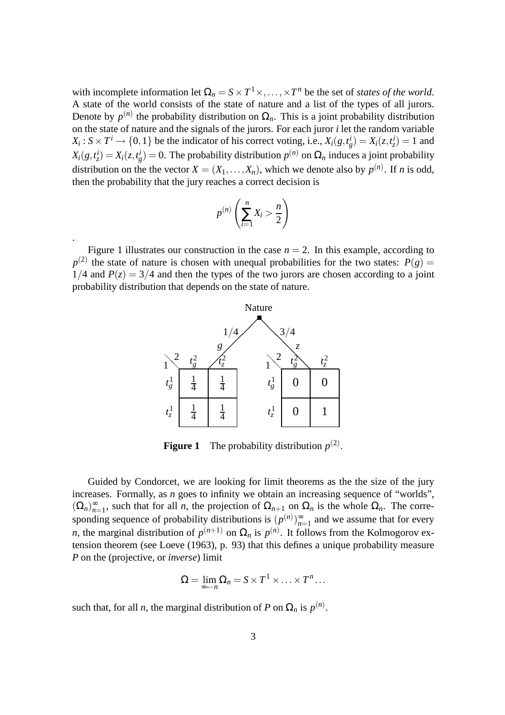with incomplete information let  $\Omega_n = S \times T^1 \times, ..., \times T^n$  be the set of *states of the world*. A state of the world consists of the state of nature and a list of the types of all jurors. Denote by  $p^{(n)}$  the probability distribution on  $\Omega_n$ . This is a joint probability distribution on the state of nature and the signals of the jurors. For each juror *i* let the random variable  $X_i: S \times T^i \to \{0, 1\}$  be the indicator of his correct voting, i.e.,  $X_i(g, t_g^i) = X_i(z, t_z^i) = 1$  and  $X_i(g,t^i) = X_i(z,t^i_g) = 0$ . The probability distribution  $p^{(n)}$  on  $\Omega_n$  induces a joint probability distribution on the the vector  $X = (X_1, \ldots, X_n)$ , which we denote also by  $p^{(n)}$ . If *n* is odd, then the probability that the jury reaches a correct decision is

$$
p^{(n)}\left(\sum_{i=1}^n X_i > \frac{n}{2}\right)
$$

.

Figure 1 illustrates our construction in the case  $n = 2$ . In this example, according to  $p^{(2)}$  the state of nature is chosen with unequal probabilities for the two states:  $P(g)$  =  $1/4$  and  $P(z) = 3/4$  and then the types of the two jurors are chosen according to a joint probability distribution that depends on the state of nature.



**Figure 1** The probability distribution  $p^{(2)}$ .

Guided by Condorcet, we are looking for limit theorems as the the size of the jury increases. Formally, as *n* goes to infinity we obtain an increasing sequence of "worlds",  $(\Omega_n)_{n=1}^{\infty}$ , such that for all *n*, the projection of  $\Omega_{n+1}$  on  $\Omega_n$  is the whole  $\Omega_n$ . The corresponding sequence of probability distributions is  $(p^{(n)})_{n=1}^{\infty}$  and we assume that for every *n*, the marginal distribution of  $p^{(n+1)}$  on  $\Omega_n$  is  $p^{(n)}$ . It follows from the Kolmogorov extension theorem (see Loeve (1963), p. 93) that this defines a unique probability measure *P* on the (projective, or *inverse*) limit

$$
\Omega = \lim_{\infty \leftarrow n} \Omega_n = S \times T^1 \times \ldots \times T^n \ldots
$$

such that, for all *n*, the marginal distribution of *P* on  $\Omega_n$  is  $p^{(n)}$ .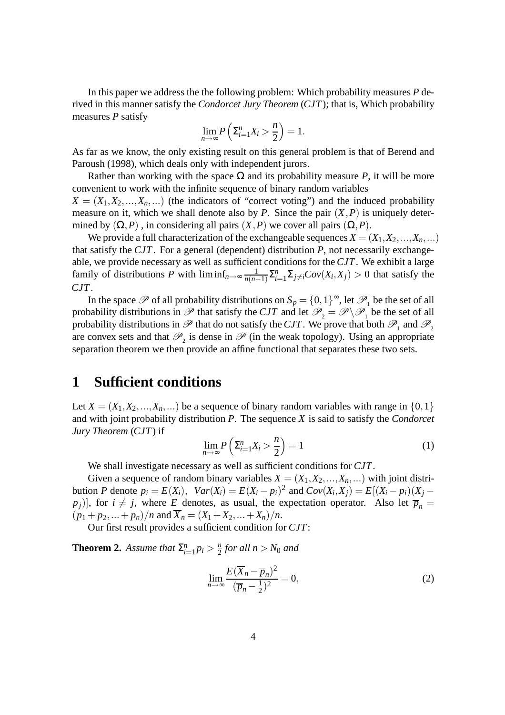In this paper we address the the following problem: Which probability measures *P* derived in this manner satisfy the *Condorcet Jury Theorem* (*CJT*); that is, Which probability measures *P* satisfy

$$
\lim_{n\to\infty} P\left(\sum_{i=1}^n X_i > \frac{n}{2}\right) = 1.
$$

As far as we know, the only existing result on this general problem is that of Berend and Paroush (1998), which deals only with independent jurors.

Rather than working with the space  $\Omega$  and its probability measure *P*, it will be more convenient to work with the infinite sequence of binary random variables

 $X = (X_1, X_2, \ldots, X_n, \ldots)$  (the indicators of "correct voting") and the induced probability measure on it, which we shall denote also by *P*. Since the pair  $(X, P)$  is uniquely determined by  $(\Omega, P)$ , in considering all pairs  $(X, P)$  we cover all pairs  $(\Omega, P)$ .

We provide a full characterization of the exchangeable sequences  $X = (X_1, X_2, ..., X_n, ...)$ that satisfy the *CJT*. For a general (dependent) distribution *P*, not necessarily exchangeable, we provide necessary as well as sufficient conditions for the *CJT*. We exhibit a large family of distributions *P* with  $\liminf_{n\to\infty} \frac{1}{n(n-1)}$  $\frac{1}{n(n-1)}\sum_{i=1}^{n}\sum_{j\neq i}Cov(X_i, X_j) > 0$  that satisfy the *CJT*.

In the space  $\mathscr P$  of all probability distributions on  $S_p = \{0,1\}^\infty$ , let  $\mathscr P_1$  be the set of all probability distributions in  $\mathscr{P}$  that satisfy the *CJT* and let  $\mathscr{P}_2 = \mathscr{P} \setminus \mathscr{P}_1$  be the set of all probability distributions in  $\mathscr P$  that do not satisfy the *CJT*. We prove that both  $\mathscr P_1$  and  $\mathscr P_2$ are convex sets and that  $\mathcal{P}_2$  is dense in  $\mathcal P$  (in the weak topology). Using an appropriate separation theorem we then provide an affine functional that separates these two sets.

# **1 Sufficient conditions**

Let  $X = (X_1, X_2, \ldots, X_n, \ldots)$  be a sequence of binary random variables with range in  $\{0,1\}$ and with joint probability distribution *P*. The sequence *X* is said to satisfy the *Condorcet Jury Theorem* (*CJT*) if

$$
\lim_{n \to \infty} P\left(\sum_{i=1}^{n} X_i > \frac{n}{2}\right) = 1\tag{1}
$$

We shall investigate necessary as well as sufficient conditions for *CJT*.

Given a sequence of random binary variables  $X = (X_1, X_2, \ldots, X_n, \ldots)$  with joint distribution P denote  $p_i = E(X_i)$ ,  $Var(X_i) = E(X_i - p_i)^2$  and  $Cov(X_i, X_j) = E[(X_i - p_i)(X_j - p_i)]$  $[p_j]$ , for  $i \neq j$ , where *E* denotes, as usual, the expectation operator. Also let  $\overline{p}_n =$  $(p_1 + p_2, \ldots + p_n)/n$  and  $\overline{X}_n = (X_1 + X_2, \ldots + X_n)/n$ .

Our first result provides a sufficient condition for *CJT*:

**Theorem 2.** *Assume that*  $\Sigma_{i}^{n}$  $_{i=1}^{n} p_i > \frac{n}{2}$  $\frac{n}{2}$  for all  $n > N_0$  and

$$
\lim_{n \to \infty} \frac{E(\overline{X}_n - \overline{p}_n)^2}{(\overline{p}_n - \frac{1}{2})^2} = 0,
$$
\n(2)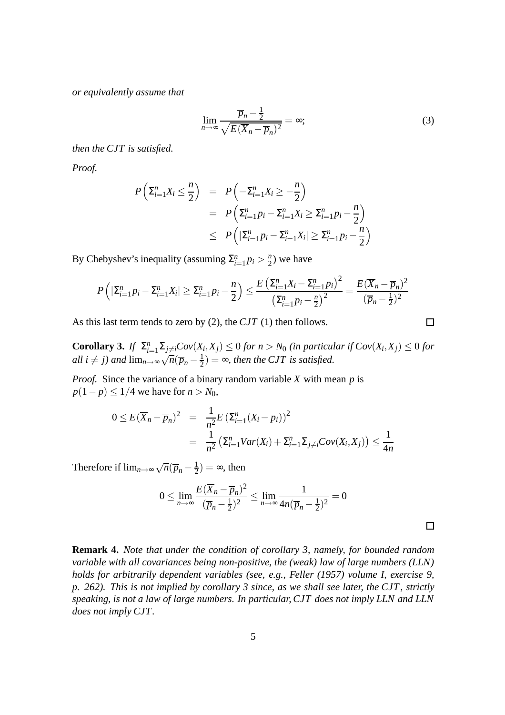*or equivalently assume that*

$$
\lim_{n \to \infty} \frac{\overline{p}_n - \frac{1}{2}}{\sqrt{E(\overline{X}_n - \overline{p}_n)^2}} = \infty; \tag{3}
$$

*then the CJT is satisfied.*

*Proof.*

$$
P\left(\Sigma_{i=1}^{n} X_{i} \leq \frac{n}{2}\right) = P\left(-\Sigma_{i=1}^{n} X_{i} \geq -\frac{n}{2}\right)
$$
  
=  $P\left(\Sigma_{i=1}^{n} p_{i} - \Sigma_{i=1}^{n} X_{i} \geq \Sigma_{i=1}^{n} p_{i} - \frac{n}{2}\right)$   
 $\leq P\left(|\Sigma_{i=1}^{n} p_{i} - \Sigma_{i=1}^{n} X_{i}| \geq \Sigma_{i=1}^{n} p_{i} - \frac{n}{2}\right)$ 

By Chebyshev's inequality (assuming  $\Sigma_i^n$  $\sum_{i=1}^{n} p_i > \frac{n}{2}$  $\frac{n}{2}$ ) we have

$$
P\left(|\sum_{i=1}^{n} p_i - \sum_{i=1}^{n} X_i| \geq \sum_{i=1}^{n} p_i - \frac{n}{2}\right) \leq \frac{E\left(\sum_{i=1}^{n} X_i - \sum_{i=1}^{n} p_i\right)^2}{\left(\sum_{i=1}^{n} p_i - \frac{n}{2}\right)^2} = \frac{E(\overline{X}_n - \overline{p}_n)^2}{(\overline{p}_n - \frac{1}{2})^2}
$$

As this last term tends to zero by (2), the *CJT* (1) then follows.

**Corollary 3.** *If*  $\Sigma_i^n$  $\sum_{i=1}^n\sum_{j\neq i}Cov(X_i,X_j)\leq 0$  for  $n>N_0$  (in particular if  $Cov(X_i,X_j)\leq 0$  for *all i*  $\neq j$ *) and*  $\lim_{n\to\infty} \sqrt{n}(\overline{p}_n - \frac{1}{2})$  $\frac{1}{2}$ ) =  $\infty$ , then the CJT is satisfied.

*Proof.* Since the variance of a binary random variable *X* with mean *p* is *p*(1−*p*) ≤ 1/4 we have for *n* > *N*<sub>0</sub>,

$$
0 \le E(\overline{X}_n - \overline{p}_n)^2 = \frac{1}{n^2} E(\Sigma_{i=1}^n (X_i - p_i))^2
$$
  
= 
$$
\frac{1}{n^2} (\Sigma_{i=1}^n Var(X_i) + \Sigma_{i=1}^n \Sigma_{j \ne i} Cov(X_i, X_j)) \le \frac{1}{4n}
$$

Therefore if  $\lim_{n\to\infty}\sqrt{n}(\overline{p}_n-\frac{1}{2})$  $\frac{1}{2}) = \infty$ , then

$$
0 \le \lim_{n \to \infty} \frac{E(\overline{X}_n - \overline{p}_n)^2}{(\overline{p}_n - \frac{1}{2})^2} \le \lim_{n \to \infty} \frac{1}{4n(\overline{p}_n - \frac{1}{2})^2} = 0
$$

**Remark 4.** *Note that under the condition of corollary 3, namely, for bounded random variable with all covariances being non-positive, the (weak) law of large numbers (LLN) holds for arbitrarily dependent variables (see, e.g., Feller (1957) volume I, exercise 9, p. 262). This is not implied by corollary 3 since, as we shall see later, the CJT , strictly speaking, is not a law of large numbers. In particular, CJT does not imply LLN and LLN does not imply CJT.*

$$
\qquad \qquad \Box
$$

 $\Box$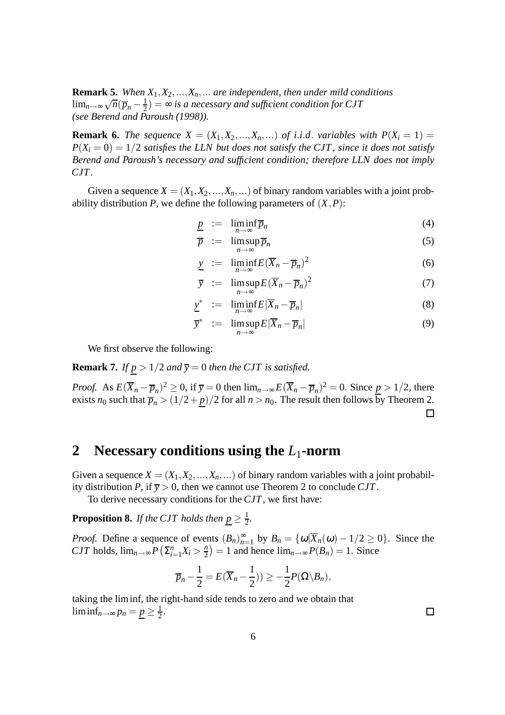**Remark 5.** *When X*1,*X*2,...,*Xn*,... *are independent, then under mild conditions*  $\lim_{n\to\infty}\sqrt{n}(\overline{p}_n-\frac{1}{2})$  $\frac{1}{2}) = \infty$  is a necessary and sufficient condition for CJT *(see Berend and Paroush (1998)).*

**Remark 6.** *The sequence*  $X = (X_1, X_2, ..., X_n, ...)$  *of i.i.d. variables with*  $P(X_i = 1) =$  $P(X_i = 0) = 1/2$  *satisfies the LLN but does not satisfy the CJT, since it does not satisfy Berend and Paroush's necessary and sufficient condition; therefore LLN does not imply CJT.*

Given a sequence  $X = (X_1, X_2, ..., X_n, ...)$  of binary random variables with a joint probability distribution *P*, we define the following parameters of  $(X, P)$ :

$$
\underline{p} := \liminf_{n \to \infty} \overline{p}_n \tag{4}
$$

$$
\overline{p} := \limsup_{n \to \infty} \overline{p}_n \tag{5}
$$

$$
\underline{y} := \liminf_{n \to \infty} E(\overline{X}_n - \overline{p}_n)^2 \tag{6}
$$

$$
\overline{y} := \limsup_{n \to \infty} E(\overline{X}_n - \overline{p}_n)^2 \tag{7}
$$

$$
\underline{y}^* \ := \ \liminf_{n \to \infty} E|\overline{X}_n - \overline{p}_n| \tag{8}
$$

$$
\overline{y}^* := \limsup_{n \to \infty} E|\overline{X}_n - \overline{p}_n| \tag{9}
$$

We first observe the following:

**Remark 7.** *If*  $p > 1/2$  *and*  $\overline{y} = 0$  *then the CJT is satisfied.* 

*Proof.* As  $E(\overline{X}_n - \overline{p}_n)^2 \ge 0$ , if  $\overline{y} = 0$  then  $\lim_{n \to \infty} E(\overline{X}_n - \overline{p}_n)^2 = 0$ . Since  $\underline{p} > 1/2$ , there exists  $n_0$  such that  $\frac{n}{p_n} > \frac{n}{1/2 + p}$  /2 for all  $n > n_0$ . The result then follows by Theorem 2.  $\Box$ 

# **2 Necessary conditions using the** *L*1**-norm**

Given a sequence  $X = (X_1, X_2, ..., X_n, ...)$  of binary random variables with a joint probability distribution *P*, if  $\overline{y} > 0$ , then we cannot use Theorem 2 to conclude *CJT*.

To derive necessary conditions for the *CJT*, we first have:

**Proposition 8.** *If the CJT holds then*  $\underline{p} \geq \frac{1}{2}$  $\frac{1}{2}$ .

*Proof.* Define a sequence of events  $(B_n)_{n=1}^{\infty}$  by  $B_n = {\omega | \overline{X}_n(\omega) - 1/2 \ge 0}$ . Since the *CJT* holds,  $\lim_{n\to\infty} P\left(\sum_{i=1}^{n} X_i > \frac{n}{2}\right)$  $\binom{n}{2} = 1$  and hence  $\lim_{n \to \infty} P(B_n) = 1$ . Since

$$
\overline{p}_n - \frac{1}{2} = E(\overline{X}_n - \frac{1}{2}) \geq -\frac{1}{2}P(\Omega \setminus B_n),
$$

taking the liminf, the right-hand side tends to zero and we obtain that  $\liminf_{n\to\infty}$   $p_n = \underline{p} \geq \frac{1}{2}$  $\frac{1}{2}$ .

6

 $\Box$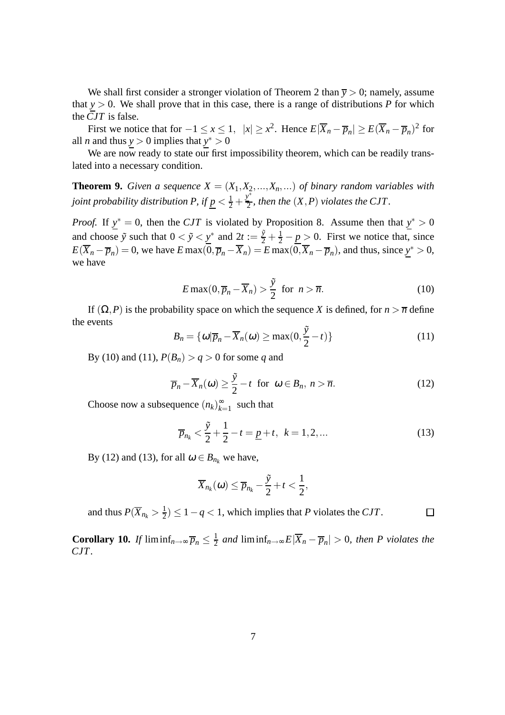We shall first consider a stronger violation of Theorem 2 than  $\bar{y} > 0$ ; namely, assume that  $y > 0$ . We shall prove that in this case, there is a range of distributions *P* for which the *CJT* is false.

First we notice that for  $-1 \le x \le 1$ ,  $|x| \ge x^2$ . Hence  $E|\overline{X}_n - \overline{p}_n| \ge E(\overline{X}_n - \overline{p}_n)^2$  for all *n* and thus  $y > 0$  implies that  $y^* > 0$ 

We are now ready to state our first impossibility theorem, which can be readily translated into a necessary condition.

**Theorem 9.** *Given a sequence*  $X = (X_1, X_2, ..., X_n, ...)$  *of binary random variables with* joint probability distribution P, if  $\underline{p} < \frac{1}{2} + \frac{y^*}{2}$  $\frac{\partial Y}{\partial z}$ , then the  $(X, P)$  violates the CJT.

*Proof.* If  $y^* = 0$ , then the *CJT* is violated by Proposition 8. Assume then that  $y^* > 0$ and choose  $\tilde{y}$  such that  $0 < \tilde{y} < \underline{y}^*$  and  $2t := \frac{\tilde{y}}{2} + \frac{1}{2} - \underline{p} > 0$ . First we notice that, since  $E(\overline{X}_n - \overline{p}_n) = 0$ , we have  $E \max(0, \overline{p}_n - \overline{X}_n) = E \max(0, \overline{X}_n - \overline{p}_n)$ , and thus, since  $\underline{y}^* > 0$ , we have

$$
E\max(0,\overline{p}_n - \overline{X}_n) > \frac{\tilde{y}}{2} \text{ for } n > \overline{n}.
$$
 (10)

If  $(\Omega, P)$  is the probability space on which the sequence *X* is defined, for  $n > \overline{n}$  define the events

$$
B_n = \{ \omega | \overline{p}_n - \overline{X}_n(\omega) \ge \max(0, \frac{\tilde{y}}{2} - t) \}
$$
 (11)

By (10) and (11),  $P(B_n) > q > 0$  for some *q* and

$$
\overline{p}_n - \overline{X}_n(\omega) \ge \frac{\tilde{y}}{2} - t \text{ for } \omega \in B_n, n > \overline{n}.
$$
 (12)

Choose now a subsequence  $(n_k)_{k=1}^{\infty}$  $\sum_{k=1}^{\infty}$  such that

$$
\overline{p}_{n_k} < \frac{\tilde{y}}{2} + \frac{1}{2} - t = \underline{p} + t, \ \ k = 1, 2, \dots \tag{13}
$$

 $\Box$ 

By (12) and (13), for all  $\omega \in B_{n_k}$  we have,

$$
\overline{X}_{n_k}(\omega) \leq \overline{p}_{n_k} - \frac{\tilde{y}}{2} + t < \frac{1}{2},
$$

and thus  $P(\overline{X}_{n_k} > \frac{1}{2})$  $\frac{1}{2}$ )  $\leq 1 - q < 1$ , which implies that *P* violates the *CJT*.

**Corollary 10.** *If* liminf<sub>*n*→∞</sub> $\overline{p}_n \leq \frac{1}{2}$  $\frac{1}{2}$  and liminf<sub>n→∞</sub>  $E|\overline{X}_n - \overline{p}_n| > 0$ , then P violates the *CJT.*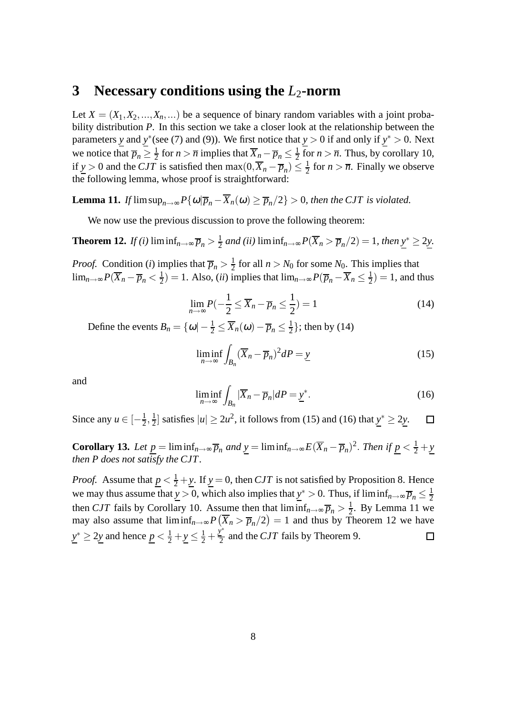### **3 Necessary conditions using the** *L*2**-norm**

Let  $X = (X_1, X_2, \ldots, X_n, \ldots)$  be a sequence of binary random variables with a joint probability distribution *P*. In this section we take a closer look at the relationship between the parameters *y* and *y*<sup>\*</sup>(see (7) and (9)). We first notice that  $y > 0$  if and only if  $y^* > 0$ . Next we notice that  $\overline{p}_n \geq \frac{1}{2}$  $\frac{1}{2}$  for *n* >  $\overline{n}$  implies that  $\overline{X}_n - \overline{p}_n \le \frac{1}{2}$  $\frac{1}{2}$  for  $n > \overline{n}$ . Thus, by corollary 10, if  $y > 0$  and the *CJT* is satisfied then  $\max(0, \overline{X}_n - \overline{p}_n) \le \frac{1}{2}$  $\frac{1}{2}$  for  $n > \overline{n}$ . Finally we observe the following lemma, whose proof is straightforward:

**Lemma 11.** *If*  $\limsup_{n\to\infty} P\{\omega|\overline{p}_n - \overline{X}_n(\omega) \geq \overline{p}_n/2\} > 0$ , then the CJT is violated.

We now use the previous discussion to prove the following theorem:

**Theorem 12.** *If (i)* liminf<sub>*n*→∞</sub>  $\overline{p}_n > \frac{1}{2}$  $\frac{1}{2}$  and (ii) liminf<sub>n→∞</sub>  $P(\overline{X}_n > \overline{p}_n/2) = 1$ *, then*  $\underline{y}^* ≥ 2\underline{y}$ .

*Proof.* Condition (*i*) implies that  $\overline{p}_n > \frac{1}{2}$  $\frac{1}{2}$  for all  $n > N_0$  for some  $N_0$ . This implies that lim<sub>*n*→∞</sub>  $P(\overline{X}_n - \overline{p}_n < \frac{1}{2})$  $\frac{1}{2}$ ) = 1. Also, *(ii)* implies that  $\lim_{n\to\infty} P(\overline{p}_n - \overline{X}_n \le \frac{1}{2})$  $(\frac{1}{2}) = 1$ , and thus

$$
\lim_{n \to \infty} P(-\frac{1}{2} \le \overline{X}_n - \overline{p}_n \le \frac{1}{2}) = 1
$$
\n(14)

Define the events  $B_n = {\omega - \frac{1}{2} \le \overline{X}_n(\omega) - \overline{p}_n \le \frac{1}{2}}$  $\frac{1}{2}$ ; then by (14)

$$
\liminf_{n \to \infty} \int_{B_n} (\overline{X}_n - \overline{p}_n)^2 dP = \underline{y}
$$
\n(15)

and

$$
\liminf_{n \to \infty} \int_{B_n} |\overline{X}_n - \overline{p}_n| dP = \underline{y}^*.
$$
 (16)

Since any  $u \in \left[-\frac{1}{2}\right]$  $\frac{1}{2}, \frac{1}{2}$  $\frac{1}{2}$  satisfies  $|u|$  ≥ 2*u*<sup>2</sup>, it follows from (15) and (16) that  $y<sup>*</sup>$  ≥ 2*y*.</u>  $\Box$ 

**Corollary 13.** *Let*  $\underline{p} = \liminf_{n \to \infty} \overline{p}_n$  *and*  $\underline{y} = \liminf_{n \to \infty} E(\overline{X}_n - \overline{p}_n)^2$ . *Then* if  $\underline{p} < \frac{1}{2} + \underline{y}$ *then P does not satisfy the CJT.*

*Proof.* Assume that  $p < \frac{1}{2} + y$ . If  $y = 0$ , then *CJT* is not satisfied by Proposition 8. Hence we may thus assume that  $y > 0$ , which also implies that  $y^* > 0$ . Thus, if  $\liminf_{n \to \infty} \overline{p}_n \le \frac{1}{2}$ 2 then *CJT* fails by Corollary 10. Assume then that  $\liminf_{n\to\infty} \overline{p}_n > \frac{1}{2}$  $\frac{1}{2}$ . By Lemma 11 we may also assume that  $\liminf_{n\to\infty} P(\overline{X}_n > \overline{p}_n/2) = 1$  and thus by Theorem 12 we have  $y^* \ge 2y$  and hence  $\underline{p} < \frac{1}{2} + y \le \frac{1}{2} + \frac{y^*}{2}$  $\frac{v}{2}$  and the *CJT* fails by Theorem 9.  $\Box$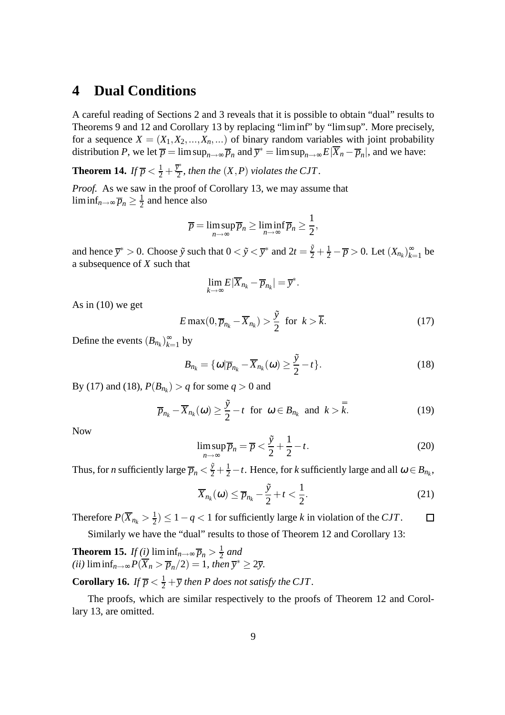# **4 Dual Conditions**

A careful reading of Sections 2 and 3 reveals that it is possible to obtain "dual" results to Theorems 9 and 12 and Corollary 13 by replacing "liminf" by "limsup". More precisely, for a sequence  $X = (X_1, X_2, ..., X_n, ...)$  of binary random variables with joint probability distribution *P*, we let  $\overline{p} = \limsup_{n \to \infty} \overline{p}_n$  and  $\overline{y}^* = \limsup_{n \to \infty} E|\overline{X}_n - \overline{p}_n|$ , and we have:

**Theorem 14.** *If*  $\overline{p} < \frac{1}{2} + \frac{\overline{y}^*}{2}$  $\frac{\partial y}{\partial z}$ , then the  $(X, P)$  violates the CJT.

*Proof.* As we saw in the proof of Corollary 13, we may assume that  $\liminf_{n\to\infty}\overline{p}_n\geq \frac{1}{2}$  $\frac{1}{2}$  and hence also

$$
\overline{p} = \limsup_{n \to \infty} \overline{p}_n \ge \liminf_{n \to \infty} \overline{p}_n \ge \frac{1}{2},
$$

and hence  $\bar{y}^* > 0$ . Choose  $\tilde{y}$  such that  $0 < \tilde{y} < \bar{y}^*$  and  $2t = \frac{\tilde{y}}{2} + \frac{1}{2} - \overline{p} > 0$ . Let  $(X_{n_k})_{k=1}^{\infty}$  $\sum_{k=1}^{\infty}$  be a subsequence of *X* such that

$$
\lim_{k\to\infty}E|\overline{X}_{n_k}-\overline{p}_{n_k}|=\overline{y}^*.
$$

As in  $(10)$  we get

$$
E \max(0, \overline{p}_{n_k} - \overline{X}_{n_k}) > \frac{\tilde{y}}{2} \text{ for } k > \overline{k}.
$$
 (17)

Define the events  $(B_{n_k})_{k=1}^{\infty}$  $_{k=1}^{\infty}$  by

$$
B_{n_k} = \{ \omega | \overline{p}_{n_k} - \overline{X}_{n_k}(\omega) \ge \frac{\tilde{y}}{2} - t \}.
$$
 (18)

By (17) and (18),  $P(B_{n_k}) > q$  for some  $q > 0$  and

$$
\overline{p}_{n_k} - \overline{X}_{n_k}(\omega) \ge \frac{\tilde{y}}{2} - t \text{ for } \omega \in B_{n_k} \text{ and } k > \overline{k}.
$$
 (19)

Now

$$
\limsup_{n \to \infty} \overline{p}_n = \overline{p} < \frac{\tilde{y}}{2} + \frac{1}{2} - t. \tag{20}
$$

Thus, for *n* sufficiently large  $\overline{p}_n < \frac{\tilde{y}}{2} + \frac{1}{2} - t$ . Hence, for *k* sufficiently large and all  $\omega \in B_{n_k}$ ,

$$
\overline{X}_{n_k}(\omega) \leq \overline{p}_{n_k} - \frac{\tilde{y}}{2} + t < \frac{1}{2}.\tag{21}
$$

Therefore  $P(\overline{X}_{n_k} > \frac{1}{2})$  $\frac{1}{2}$ )  $\leq 1 - q < 1$  for sufficiently large *k* in violation of the *CJT*.  $\Box$ 

Similarly we have the "dual" results to those of Theorem 12 and Corollary 13:

**Theorem 15.** *If* (*i*) liminf<sub>*n*→∞</sub> $\overline{p}_n > \frac{1}{2}$  $rac{1}{2}$  and  $(iii)$   $\liminf_{n\to\infty} P(\overline{X}_n > \overline{p}_n/2) = 1$ , then  $\overline{y}^* \geq 2\overline{y}$ .

**Corollary 16.** *If*  $\overline{p} < \frac{1}{2} + \overline{y}$  *then P does not satisfy the CJT.* 

The proofs, which are similar respectively to the proofs of Theorem 12 and Corollary 13, are omitted.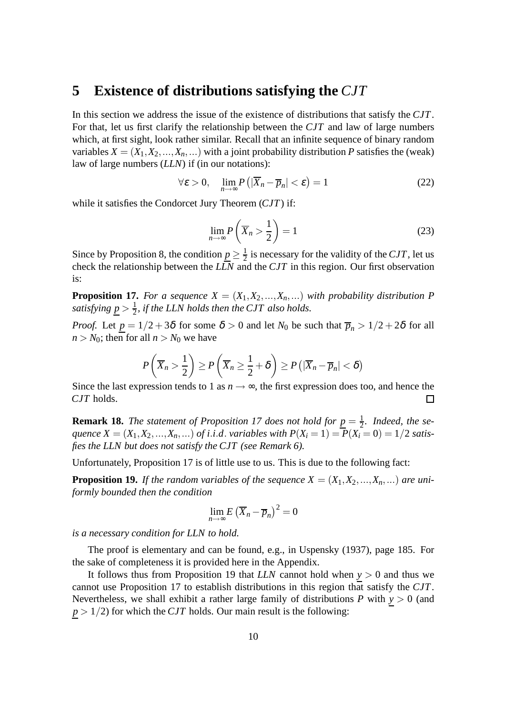# **5 Existence of distributions satisfying the** *CJT*

In this section we address the issue of the existence of distributions that satisfy the *CJT*. For that, let us first clarify the relationship between the *CJT* and law of large numbers which, at first sight, look rather similar. Recall that an infinite sequence of binary random variables  $X = (X_1, X_2, ..., X_n, ...)$  with a joint probability distribution *P* satisfies the (weak) law of large numbers (*LLN*) if (in our notations):

$$
\forall \varepsilon > 0, \quad \lim_{n \to \infty} P\left( |\overline{X}_n - \overline{p}_n| < \varepsilon \right) = 1 \tag{22}
$$

while it satisfies the Condorcet Jury Theorem (*CJT*) if:

$$
\lim_{n \to \infty} P\left(\overline{X}_n > \frac{1}{2}\right) = 1\tag{23}
$$

Since by Proposition 8, the condition  $\underline{p} \geq \frac{1}{2}$  $\frac{1}{2}$  is necessary for the validity of the *CJT*, let us check the relationship between the *LLN* and the *CJT* in this region. Our first observation is:

**Proposition 17.** For a sequence  $X = (X_1, X_2, ..., X_n, ...)$  with probability distribution P *satisfying*  $p > \frac{1}{2}$  $\frac{1}{2}$ , if the LLN holds then the CJT also holds.

*Proof.* Let  $p = 1/2 + 3\delta$  for some  $\delta > 0$  and let  $N_0$  be such that  $\overline{p}_n > 1/2 + 2\delta$  for all  $n > N_0$ ; then for all  $n > N_0$  we have

$$
P\left(\overline{X}_n > \frac{1}{2}\right) \ge P\left(\overline{X}_n \ge \frac{1}{2} + \delta\right) \ge P\left(|\overline{X}_n - \overline{p}_n| < \delta\right)
$$

Since the last expression tends to 1 as  $n \to \infty$ , the first expression does too, and hence the *CJT* holds. *CJT* holds.

**Remark 18.** *The statement of Proposition 17 does not hold for*  $p = \frac{1}{2}$  $\frac{1}{2}$ *.* Indeed, the se*quence*  $X = (X_1, X_2, ..., X_n, ...)$  *of i.i.d. variables with*  $P(X_i = 1) = P(X_i = 0) = 1/2$  *satisfies the LLN but does not satisfy the CJT (see Remark 6).*

Unfortunately, Proposition 17 is of little use to us. This is due to the following fact:

**Proposition 19.** *If the random variables of the sequence*  $X = (X_1, X_2, ..., X_n, ...)$  *are uniformly bounded then the condition*

$$
\lim_{n\to\infty}E\left(\overline{X}_n-\overline{p}_n\right)^2=0
$$

*is a necessary condition for LLN to hold.*

The proof is elementary and can be found, e.g., in Uspensky (1937), page 185. For the sake of completeness it is provided here in the Appendix.

It follows thus from Proposition 19 that *LLN* cannot hold when *y* > 0 and thus we cannot use Proposition 17 to establish distributions in this region that satisfy the *CJT*. Nevertheless, we shall exhibit a rather large family of distributions  $P$  with  $y > 0$  (and  $p > 1/2$ ) for which the *CJT* holds. Our main result is the following: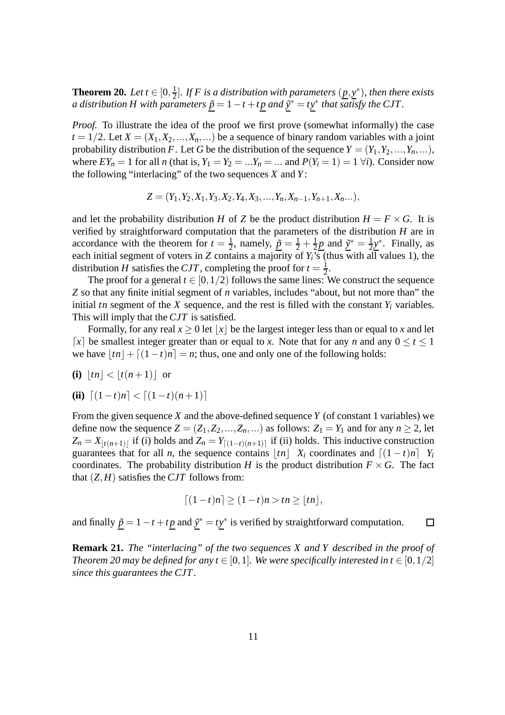**Theorem 20.** *Let*  $t \in [0, \frac{1}{2}]$ 2 ]*. If F is a distribution with parameters* (*p*, *y* ∗ )*, then there exists a distribution H with parameters*  $\underline{\tilde{p}} = 1 - t + t\underline{p}$  *and*  $\underline{\tilde{y}}^* = t\underline{y}^*$  *that satisfy the CJT*.

*Proof.* To illustrate the idea of the proof we first prove (somewhat informally) the case  $t = 1/2$ . Let  $X = (X_1, X_2, \ldots, X_n, \ldots)$  be a sequence of binary random variables with a joint probability distribution *F*. Let *G* be the distribution of the sequence  $Y = (Y_1, Y_2, ..., Y_n, ...)$ , where  $EY_n = 1$  for all *n* (that is,  $Y_1 = Y_2 = ... Y_n = ...$  and  $P(Y_i = 1) = 1 \forall i$ ). Consider now the following "interlacing" of the two sequences *X* and *Y*:

$$
Z=(Y_1,Y_2,X_1,Y_3,X_2,Y_4,X_3,...,Y_n,X_{n-1},Y_{n+1},X_n...),
$$

and let the probability distribution *H* of *Z* be the product distribution  $H = F \times G$ . It is verified by straightforward computation that the parameters of the distribution *H* are in accordance with the theorem for  $t = \frac{1}{2}$  $\frac{1}{2}$ , namely,  $\tilde{p} = \frac{1}{2} + \frac{1}{2}$  $\frac{1}{2}\underline{p}$  and  $\underline{\tilde{y}}^* = \frac{1}{2}$  $\frac{1}{2}y^*$ . Finally, as each initial segment of voters in *Z* contains a majority of  $Y_i$ <sup>7</sup>s (thus with all values 1), the distribution *H* satisfies the *CJT*, completing the proof for  $t = \frac{1}{2}$  $\frac{1}{2}$ .

The proof for a general  $t \in [0,1/2)$  follows the same lines: We construct the sequence *Z* so that any finite initial segment of *n* variables, includes "about, but not more than" the initial *tn* segment of the *X* sequence, and the rest is filled with the constant  $Y_i$  variables. This will imply that the *CJT* is satisfied.

Formally, for any real  $x \geq 0$  let  $|x|$  be the largest integer less than or equal to x and let  $\lceil x \rceil$  be smallest integer greater than or equal to *x*. Note that for any *n* and any  $0 \le t \le 1$ we have  $|tn| + [(1-t)n] = n$ ; thus, one and only one of the following holds:

$$
(i) \lfloor tn \rfloor < \lfloor t(n+1) \rfloor \text{ or }
$$

 $\textbf{(ii)} \left[ (1-t)n \right] < \left[ (1-t)(n+1) \right]$ 

From the given sequence *X* and the above-defined sequence *Y* (of constant 1 variables) we define now the sequence  $Z = (Z_1, Z_2, ..., Z_n, ...)$  as follows:  $Z_1 = Y_1$  and for any  $n \ge 2$ , let  $Z_n = X_{\lfloor t(n+1) \rfloor}$  if (i) holds and  $Z_n = Y_{\lfloor (1-t)(n+1) \rfloor}$  if (ii) holds. This inductive construction guarantees that for all *n*, the sequence contains  $|tn| X_i$  coordinates and  $[(1-t)n] Y_i$ coordinates. The probability distribution *H* is the product distribution  $F \times G$ . The fact that  $(Z, H)$  satisfies the *CJT* follows from:

$$
\lceil (1-t)n \rceil \ge (1-t)n > tn \ge \lfloor tn \rfloor,
$$

and finally  $\underline{\tilde{p}} = 1 - t + t\underline{p}$  and  $\underline{\tilde{y}}^* = t\underline{y}^*$  is verified by straightforward computation.  $\Box$ 

**Remark 21.** *The "interlacing" of the two sequences X and Y described in the proof of Theorem 20 may be defined for any t*  $\in$  [0, 1]. We were specifically interested in t  $\in$  [0, 1/2] *since this guarantees the CJT .*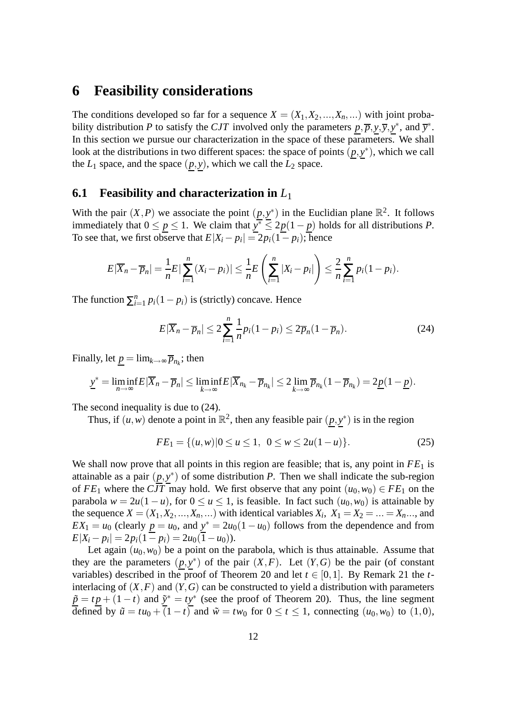### **6 Feasibility considerations**

The conditions developed so far for a sequence  $X = (X_1, X_2, \ldots, X_n, \ldots)$  with joint probability distribution *P* to satisfy the *CJT* involved only the parameters  $p, \overline{p}, y, \overline{y}, y^*$ , and  $\overline{y}^*$ . In this section we pursue our characterization in the space of these parameters. We shall look at the distributions in two different spaces: the space of points  $(p, y^*)$ , which we call the  $L_1$  space, and the space  $(p, y)$ , which we call the  $L_2$  space.

#### **6.1 Feasibility and characterization in** *L*<sup>1</sup>

With the pair  $(X, P)$  we associate the point  $(p, y^*)$  in the Euclidian plane  $\mathbb{R}^2$ . It follows immediately that  $0 \leq p \leq 1$ . We claim that  $y^* \leq 2p(1-p)$  holds for all distributions *P*. To see that, we first observe that  $E|X_i - p_i| = 2p_i(1 - p_i)$ ; hence

$$
E|\overline{X}_n-\overline{p}_n|=\frac{1}{n}E\left|\sum_{i=1}^n(X_i-p_i)\right|\leq\frac{1}{n}E\left(\sum_{i=1}^n|X_i-p_i|\right)\leq\frac{2}{n}\sum_{i=1}^n p_i(1-p_i).
$$

The function  $\sum_{i=1}^{n}$  $\sum_{i=1}^{n} p_i (1 - p_i)$  is (strictly) concave. Hence

$$
E|\overline{X}_n - \overline{p}_n| \le 2\sum_{i=1}^n \frac{1}{n}p_i(1 - p_i) \le 2\overline{p}_n(1 - \overline{p}_n). \tag{24}
$$

Finally, let  $\underline{p} = \lim_{k \to \infty} \overline{p}_{n_k}$ ; then

$$
\underline{y}^* = \liminf_{n \to \infty} E|\overline{X}_n - \overline{p}_n| \le \liminf_{k \to \infty} E|\overline{X}_{n_k} - \overline{p}_{n_k}| \le 2 \lim_{k \to \infty} \overline{p}_{n_k}(1 - \overline{p}_{n_k}) = 2\underline{p}(1 - \underline{p}).
$$

The second inequality is due to  $(24)$ .

Thus, if  $(u, w)$  denote a point in  $\mathbb{R}^2$ , then any feasible pair  $(p, y^*)$  is in the region

$$
FE_1 = \{(u, w) | 0 \le u \le 1, \ 0 \le w \le 2u(1 - u)\}.
$$
\n(25)

We shall now prove that all points in this region are feasible; that is, any point in *FE*<sup>1</sup> is attainable as a pair  $(p, y^*)$  of some distribution *P*. Then we shall indicate the sub-region of  $FE_1$  where the *CJT* may hold. We first observe that any point  $(u_0, w_0) \in FE_1$  on the parabola  $w = 2u(1 - u)$ , for  $0 \le u \le 1$ , is feasible. In fact such  $(u_0, w_0)$  is attainable by the sequence  $X = (X_1, X_2, \ldots, X_n, \ldots)$  with identical variables  $X_i$ ,  $X_1 = X_2 = \ldots = X_n, \ldots$ , and  $EX_1 = u_0$  (clearly  $\underline{p} = u_0$ , and  $\underline{y}^* = 2u_0(1 - u_0)$  follows from the dependence and from  $E|X_i - p_i| = 2p_i(1 - p_i) = 2u_0(1 - u_0).$ 

Let again  $(u_0, w_0)$  be a point on the parabola, which is thus attainable. Assume that they are the parameters  $(p, y^*)$  of the pair  $(X, F)$ . Let  $(Y, G)$  be the pair (of constant variables) described in the proof of Theorem 20 and let  $t \in [0,1]$ . By Remark 21 the *t*interlacing of  $(X, F)$  and  $(Y, G)$  can be constructed to yield a distribution with parameters  $\tilde{p} = t p + (1 - t)$  and  $\tilde{y}^* = t y^*$  (see the proof of Theorem 20). Thus, the line segment defined by  $\tilde{u} = tu_0 + (1 - t)$  and  $\tilde{w} = tw_0$  for  $0 \le t \le 1$ , connecting  $(u_0, w_0)$  to  $(1,0)$ ,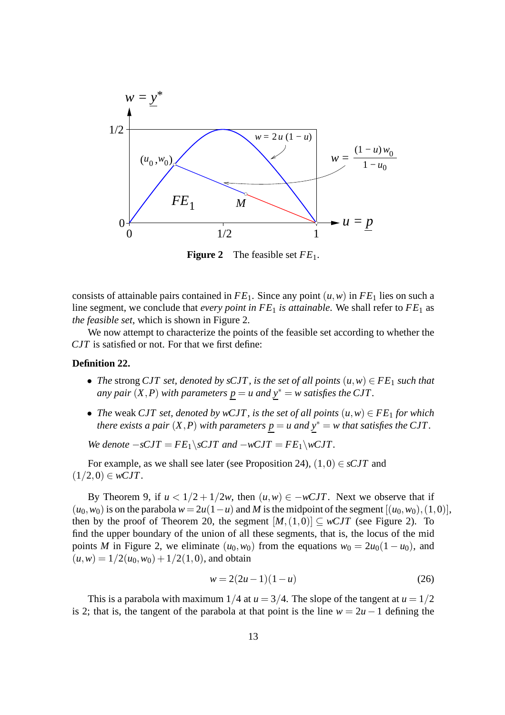

**Figure 2** The feasible set *FE*1.

consists of attainable pairs contained in  $FE_1$ . Since any point  $(u, w)$  in  $FE_1$  lies on such a line segment, we conclude that *every point in FE*<sub>1</sub> *is attainable*. We shall refer to FE<sub>1</sub> as *the feasible set*, which is shown in Figure 2.

We now attempt to characterize the points of the feasible set according to whether the *CJT* is satisfied or not. For that we first define:

#### **Definition 22.**

- *The* strong *CJT set, denoted by sCJT, is the set of all points*  $(u, w) \in FE_1$  *such that any pair*  $(X, P)$  *with parameters*  $p = u$  *and*  $y^* = w$  *satisfies the CJT*.
- *The* weak *CJT set, denoted by wCJT*, *is the set of all points*  $(u, w) \in FE_1$  *for which there exists a pair*  $(X, P)$  *with parameters*  $p = u$  *and*  $y^* = w$  *that satisfies the CJT.*

*We denote*  $-sCJT = FE_1 \setminus sCJT$  *and*  $-wCJT = FE_1 \setminus wCJT$ .

For example, as we shall see later (see Proposition 24),  $(1,0) \in sCJT$  and  $(1/2,0) \in wCJT$ .

By Theorem 9, if  $u < 1/2 + 1/2w$ , then  $(u, w) \in -wCIT$ . Next we observe that if  $(u_0, w_0)$  is on the parabola  $w = 2u(1-u)$  and *M* is the midpoint of the segment  $[(u_0, w_0), (1,0)],$ then by the proof of Theorem 20, the segment  $[M,(1,0)] \subseteq wCJT$  (see Figure 2). To find the upper boundary of the union of all these segments, that is, the locus of the mid points *M* in Figure 2, we eliminate  $(u_0, w_0)$  from the equations  $w_0 = 2u_0(1 - u_0)$ , and  $(u, w) = 1/2(u_0, w_0) + 1/2(1, 0)$ , and obtain

$$
w = 2(2u - 1)(1 - u)
$$
 (26)

This is a parabola with maximum  $1/4$  at  $u = 3/4$ . The slope of the tangent at  $u = 1/2$ is 2; that is, the tangent of the parabola at that point is the line  $w = 2u - 1$  defining the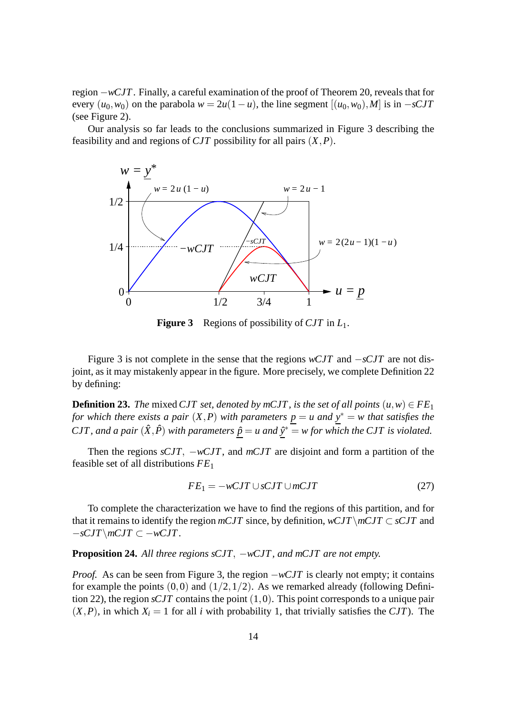region −*wCJT*. Finally, a careful examination of the proof of Theorem 20, reveals that for every  $(u_0, w_0)$  on the parabola  $w = 2u(1 - u)$ , the line segment  $[(u_0, w_0), M]$  is in  $-sCT$ (see Figure 2).

Our analysis so far leads to the conclusions summarized in Figure 3 describing the feasibility and and regions of *CJT* possibility for all pairs (*X*,*P*).



**Figure 3** Regions of possibility of *CJT* in *L*1.

Figure 3 is not complete in the sense that the regions *wCJT* and −*sCJT* are not disjoint, as it may mistakenly appear in the figure. More precisely, we complete Definition 22 by defining:

**Definition 23.** *The* mixed *CJT set, denoted by mCJT, is the set of all points*  $(u, w) \in FE_1$ *for which there exists a pair*  $(X, P)$  *with parameters*  $\underline{p} = u$  *and*  $\underline{y}^* = w$  *that satisfies the CJT, and a pair*  $(\hat{X}, \hat{P})$  *with parameters*  $\hat{p} = u$  *and*  $\hat{y}^* = w$  *for which the CJT is violated.* 

Then the regions *sCJT*, −*wCJT*, and *mCJT* are disjoint and form a partition of the feasible set of all distributions *FE*<sup>1</sup>

$$
FE_1 = -wCJT \cup sCJT \cup mCJT \tag{27}
$$

To complete the characterization we have to find the regions of this partition, and for that it remains to identify the region  $mCJT$  since, by definition,  $wCJT\setminus mCJT\subset sCJT$  and −*sCJT*\*mCJT* ⊂ −*wCJT*.

**Proposition 24.** All three regions sCJT, −*wCJT*, and mCJT are not empty.

*Proof.* As can be seen from Figure 3, the region  $-wCJT$  is clearly not empty; it contains for example the points  $(0,0)$  and  $(1/2,1/2)$ . As we remarked already (following Definition 22), the region *sCJT* contains the point (1,0). This point corresponds to a unique pair  $(X, P)$ , in which  $X_i = 1$  for all *i* with probability 1, that trivially satisfies the *CJT*). The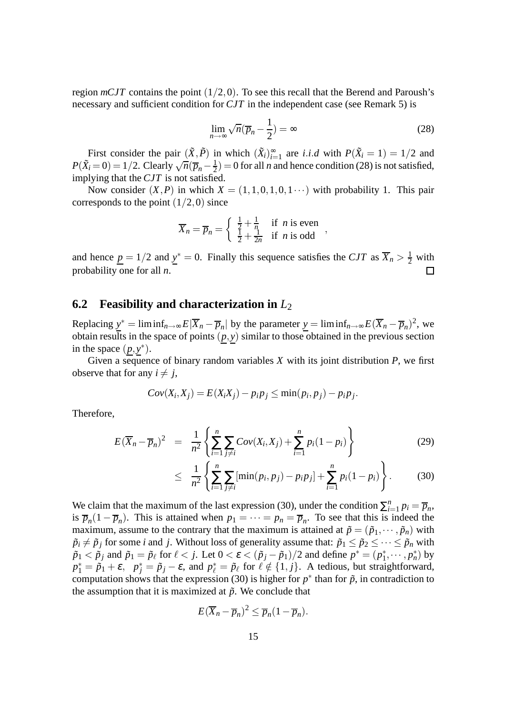region  $mCJT$  contains the point  $(1/2,0)$ . To see this recall that the Berend and Paroush's necessary and sufficient condition for *CJT* in the independent case (see Remark 5) is

$$
\lim_{n \to \infty} \sqrt{n}(\overline{p}_n - \frac{1}{2}) = \infty \tag{28}
$$

First consider the pair  $(\tilde{X}, \tilde{P})$  in which  $(\tilde{X}_i)_{i=1}^{\infty}$  are *i.i.d* with  $P(\tilde{X}_i = 1) = 1/2$  and  $P(\tilde{X}_i = 0) = 1/2$ . Clearly  $\sqrt{n}(\overline{p}_n - \frac{1}{2})$  $\frac{1}{2}$ ) = 0 for all *n* and hence condition (28) is not satisfied, implying that the *CJT* is not satisfied.

Now consider  $(X, P)$  in which  $X = (1, 1, 0, 1, 0, 1, \dots)$  with probability 1. This pair corresponds to the point  $(1/2,0)$  since

$$
\overline{X}_n = \overline{p}_n = \begin{cases} \frac{1}{2} + \frac{1}{n} & \text{if } n \text{ is even} \\ \frac{1}{2} + \frac{1}{2n} & \text{if } n \text{ is odd} \end{cases}
$$

and hence  $\underline{p} = 1/2$  and  $\underline{y}^* = 0$ . Finally this sequence satisfies the *CJT* as  $\overline{X}_n > \frac{1}{2}$  with probability one for all *n*.  $\Box$ 

#### **6.2 Feasibility and characterization in** *L*<sup>2</sup>

Replacing  $y^* = \liminf_{n \to \infty} E|\overline{X}_n - \overline{p}_n|$  by the parameter  $y = \liminf_{n \to \infty} E(\overline{X}_n - \overline{p}_n)^2$ , we obtain results in the space of points  $(p, y)$  similar to those obtained in the previous section in the space  $(p, y^*)$ .

Given a sequence of binary random variables *X* with its joint distribution *P*, we first observe that for any  $i \neq j$ ,

$$
Cov(X_i, X_j) = E(X_iX_j) - p_i p_j \leq \min(p_i, p_j) - p_i p_j.
$$

Therefore,

$$
E(\overline{X}_n - \overline{p}_n)^2 = \frac{1}{n^2} \left\{ \sum_{i=1}^n \sum_{j \neq i} Cov(X_i, X_j) + \sum_{i=1}^n p_i (1 - p_i) \right\}
$$
(29)

$$
\leq \frac{1}{n^2} \left\{ \sum_{i=1}^n \sum_{j \neq i} [\min(p_i, p_j) - p_i p_j] + \sum_{i=1}^n p_i (1 - p_i) \right\}.
$$
 (30)

We claim that the maximum of the last expression (30), under the condition  $\sum_{i=1}^{n}$  $\sum_{i=1}^n p_i = \overline{p}_n,$ is  $\overline{p}_n(1-\overline{p}_n)$ . This is attained when  $p_1 = \cdots = p_n = \overline{p}_n$ . To see that this is indeed the maximum, assume to the contrary that the maximum is attained at  $\tilde{p} = (\tilde{p}_1, \dots, \tilde{p}_n)$  with  $\tilde{p}_i \neq \tilde{p}_j$  for some *i* and *j*. Without loss of generality assume that:  $\tilde{p}_1 \leq \tilde{p}_2 \leq \cdots \leq \tilde{p}_n$  with  $\tilde{p}_1 < \tilde{p}_j$  and  $\tilde{p}_1 = \tilde{p}_\ell$  for  $\ell < j$ . Let  $0 < \varepsilon < (\tilde{p}_j - \tilde{p}_1)/2$  and define  $p^* = (p_1^*, \dots, p_n^*)$  by  $p_1^* = \tilde{p}_1 + \varepsilon$ ,  $p_j^* = \tilde{p}_j - \varepsilon$ , and  $p_\ell^* = \tilde{p}_\ell$  for  $\ell \notin \{1, j\}$ . A tedious, but straightforward, computation shows that the expression (30) is higher for  $p^*$  than for  $\tilde{p}$ , in contradiction to the assumption that it is maximized at  $\tilde{p}$ . We conclude that

$$
E(\overline{X}_n - \overline{p}_n)^2 \leq \overline{p}_n(1 - \overline{p}_n).
$$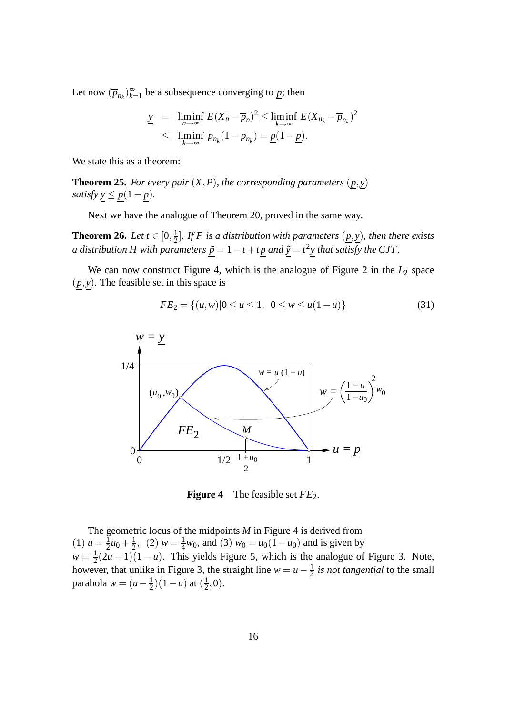Let now  $(\overline{p}_{n_k})_{k=0}^{\infty}$  $\sum_{k=1}^{\infty}$  be a subsequence converging to  $p$ ; then

$$
\underline{y} = \liminf_{n \to \infty} E(\overline{X}_n - \overline{p}_n)^2 \le \liminf_{k \to \infty} E(\overline{X}_{n_k} - \overline{p}_{n_k})^2
$$
  

$$
\le \liminf_{k \to \infty} \overline{p}_{n_k} (1 - \overline{p}_{n_k}) = \underline{p} (1 - \underline{p}).
$$

We state this as a theorem:

**Theorem 25.** *For every pair*  $(X, P)$ *, the corresponding parameters*  $(p, y)$ *satisfy*  $\underline{y} \leq \underline{p}(1-\underline{p})$ *.* 

Next we have the analogue of Theorem 20, proved in the same way.

**Theorem 26.** *Let*  $t \in [0, \frac{1}{2}]$ 2 ]*. If F is a distribution with parameters* (*p*, *y*)*, then there exists a distribution H with parameters*  $\underline{\tilde{p}} = 1 - t + t\underline{p}$  *and*  $\underline{\tilde{y}} = t^2\underline{y}$  *that satisfy the CJT*.

We can now construct Figure 4, which is the analogue of Figure 2 in the  $L_2$  space  $(p, y)$ . The feasible set in this space is

$$
FE_2 = \{(u, w) | 0 \le u \le 1, \ 0 \le w \le u(1 - u)\}\
$$
\n(31)



**Figure 4** The feasible set  $FE_2$ .

The geometric locus of the midpoints *M* in Figure 4 is derived from  $(1) u = \frac{1}{2}$  $\frac{1}{2}u_0 + \frac{1}{2}$  $\frac{1}{2}$ , (2)  $w = \frac{1}{4}$  $\frac{1}{4}w_0$ , and (3)  $w_0 = u_0(1 - u_0)$  and is given by  $w=\frac{1}{2}$  $\frac{1}{2}(2u-1)(1-u)$ . This yields Figure 5, which is the analogue of Figure 3. Note, however, that unlike in Figure 3, the straight line  $w = u - \frac{1}{2}$  $\frac{1}{2}$  *is not tangential* to the small parabola *w* =  $(u - \frac{1}{2})$  $(\frac{1}{2})(1-u)$  at  $(\frac{1}{2})$  $(\frac{1}{2},0).$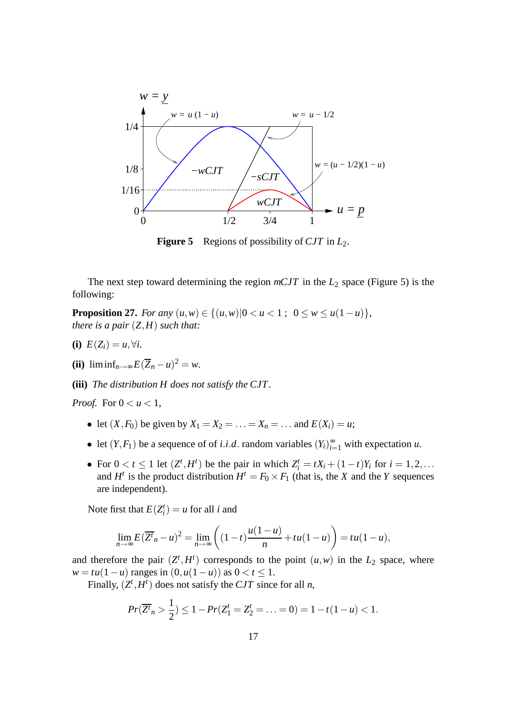

**Figure 5** Regions of possibility of *CJT* in *L*2.

The next step toward determining the region  $mCJT$  in the  $L_2$  space (Figure 5) is the following:

**Proposition 27.** *For any*  $(u, w) \in \{(u, w) | 0 < u < 1; 0 \le w \le u(1 - u)\}$ , *there is a pair* (*Z*,*H*) *such that:*

- **(i)**  $E(Z_i) = u, \forall i$ .
- **(ii)** liminf<sub>n→∞</sub>  $E(\overline{Z}_n u)^2 = w$ .
- **(iii)** *The distribution H does not satisfy the CJT .*

*Proof.* For  $0 < u < 1$ ,

- let  $(X, F_0)$  be given by  $X_1 = X_2 = \ldots = X_n = \ldots$  and  $E(X_i) = u$ ;
- let  $(Y, F_1)$  be a sequence of of *i.i.d.* random variables  $(Y_i)_{i=1}^{\infty}$  with expectation *u*.
- For  $0 < t \le 1$  let  $(Z^t, H^t)$  be the pair in which  $Z_i^t = tX_i + (1 t)Y_i$  for  $i = 1, 2, ...$ and  $H^t$  is the product distribution  $H^t = F_0 \times F_1$  (that is, the *X* and the *Y* sequences are independent).

Note first that  $E(Z_i^t) = u$  for all *i* and

$$
\lim_{n\to\infty} E(\overline{Z^n}_n - u)^2 = \lim_{n\to\infty} \left( (1-t) \frac{u(1-u)}{n} + tu(1-u) \right) = tu(1-u),
$$

and therefore the pair  $(Z^t, H^t)$  corresponds to the point  $(u, w)$  in the  $L_2$  space, where  $w = tu(1 - u)$  ranges in  $(0, u(1 - u))$  as  $0 < t < 1$ .

Finally,  $(Z^t, H^t)$  does not satisfy the *CJT* since for all *n*,

$$
Pr(\overline{Z^{t}}_{n} > \frac{1}{2}) \leq 1 - Pr(Z^{t}_{1} = Z^{t}_{2} = \ldots = 0) = 1 - t(1 - u) < 1.
$$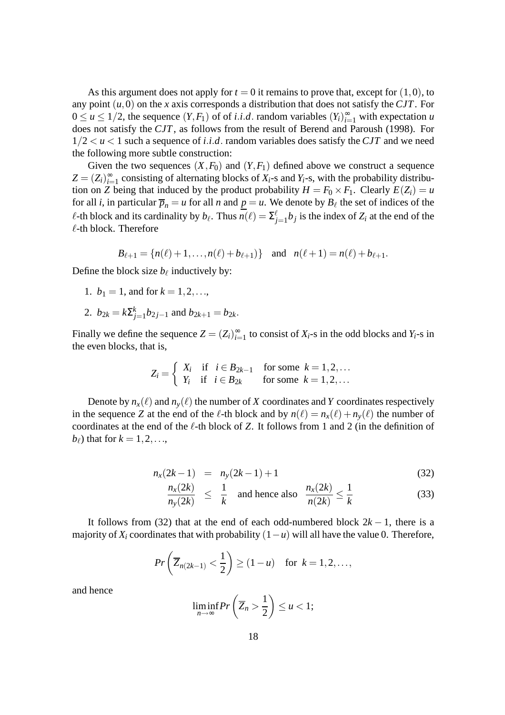As this argument does not apply for  $t = 0$  it remains to prove that, except for  $(1,0)$ , to any point (*u*,0) on the *x* axis corresponds a distribution that does not satisfy the *CJT*. For  $0 \le u \le 1/2$ , the sequence  $(Y, F_1)$  of of *i.i.d.* random variables  $(Y_i)_{i=1}^{\infty}$  with expectation *u* does not satisfy the *CJT*, as follows from the result of Berend and Paroush (1998). For  $1/2 < u < 1$  such a sequence of *i.i.d.* random variables does satisfy the *CJT* and we need the following more subtle construction:

Given the two sequences  $(X, F_0)$  and  $(Y, F_1)$  defined above we construct a sequence  $Z = (Z_i)_{i=1}^{\infty}$  consisting of alternating blocks of  $X_i$ -s and  $Y_i$ -s, with the probability distribution on *Z* being that induced by the product probability  $H = F_0 \times F_1$ . Clearly  $E(Z_i) = u$ for all *i*, in particular  $\overline{p}_n = u$  for all *n* and  $\underline{p} = u$ . We denote by  $B_\ell$  the set of indices of the  $\ell$ -th block and its cardinality by  $b_{\ell}$ . Thus  $n(\ell) = \sum_{j=1}^{\ell} b_j$  is the index of  $Z_i$  at the end of the  $\ell$ -th block. Therefore

$$
B_{\ell+1} = \{n(\ell)+1,\ldots,n(\ell)+b_{\ell+1})\}
$$
 and  $n(\ell+1) = n(\ell)+b_{\ell+1}$ .

Define the block size  $b_{\ell}$  inductively by:

- 1.  $b_1 = 1$ , and for  $k = 1, 2, \ldots$ ,
- 2.  $b_{2k} = k \sum_{j=1}^{k} b_{2j-1}$  and  $b_{2k+1} = b_{2k}$ .

Finally we define the sequence  $Z = (Z_i)_{i=1}^{\infty}$  to consist of  $X_i$ -s in the odd blocks and  $Y_i$ -s in the even blocks, that is,

$$
Z_i = \begin{cases} X_i & \text{if } i \in B_{2k-1} \quad \text{for some } k = 1, 2, \dots \\ Y_i & \text{if } i \in B_{2k} \quad \text{for some } k = 1, 2, \dots \end{cases}
$$

Denote by  $n_x(\ell)$  and  $n_y(\ell)$  the number of *X* coordinates and *Y* coordinates respectively in the sequence *Z* at the end of the  $\ell$ -th block and by  $n(\ell) = n_x(\ell) + n_y(\ell)$  the number of coordinates at the end of the ℓ-th block of *Z*. It follows from 1 and 2 (in the definition of  $b_{\ell}$ ) that for  $k = 1, 2, \ldots$ ,

$$
n_x(2k-1) = n_y(2k-1) + 1 \tag{32}
$$

$$
\frac{n_x(2k)}{n_y(2k)} \le \frac{1}{k} \quad \text{and hence also} \quad \frac{n_x(2k)}{n(2k)} \le \frac{1}{k} \tag{33}
$$

It follows from (32) that at the end of each odd-numbered block  $2k - 1$ , there is a majority of  $X_i$  coordinates that with probability  $(1 - u)$  will all have the value 0. Therefore,

$$
Pr\left(\overline{Z}_{n(2k-1)} < \frac{1}{2}\right) \geq (1-u) \quad \text{for } k = 1, 2, \ldots,
$$

and hence

$$
\liminf_{n\to\infty} Pr\left(\overline{Z}_n > \frac{1}{2}\right) \leq u < 1;
$$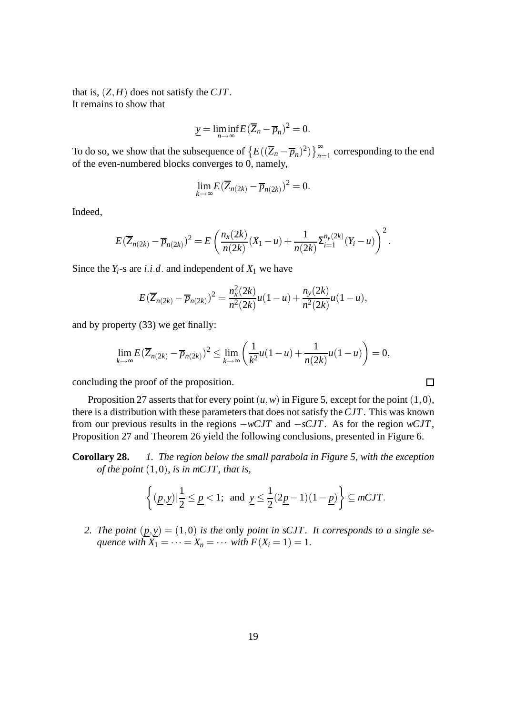that is, (*Z*,*H*) does not satisfy the *CJT*. It remains to show that

$$
\underline{y} = \liminf_{n \to \infty} E(\overline{Z}_n - \overline{p}_n)^2 = 0.
$$

To do so, we show that the subsequence of  $\left\{E((\overline{Z}_n - \overline{p}_n)^2)\right\}_{n=1}^{\infty}$  corresponding to the end of the even-numbered blocks converges to 0, namely,

$$
\lim_{k\to\infty} E(\overline{Z}_{n(2k)} - \overline{p}_{n(2k)})^2 = 0.
$$

Indeed,

$$
E(\overline{Z}_{n(2k)} - \overline{p}_{n(2k)})^2 = E\left(\frac{n_x(2k)}{n(2k)}(X_1 - u) + \frac{1}{n(2k)}\Sigma_{i=1}^{n_y(2k)}(Y_i - u)\right)^2.
$$

Since the  $Y_i$ -s are *i*.*i*.*d*. and independent of  $X_1$  we have

$$
E(\overline{Z}_{n(2k)} - \overline{p}_{n(2k)})^2 = \frac{n_x^2(2k)}{n^2(2k)}u(1-u) + \frac{n_y(2k)}{n^2(2k)}u(1-u),
$$

and by property (33) we get finally:

$$
\lim_{k\to\infty} E(\overline{Z}_{n(2k)} - \overline{p}_{n(2k)})^2 \le \lim_{k\to\infty} \left(\frac{1}{k^2}u(1-u) + \frac{1}{n(2k)}u(1-u)\right) = 0,
$$

 $\Box$ 

concluding the proof of the proposition.

Proposition 27 asserts that for every point  $(u, w)$  in Figure 5, except for the point  $(1,0)$ , there is a distribution with these parameters that does not satisfy the*CJT*. This was known from our previous results in the regions −*wCJT* and −*sCJT*. As for the region *wCJT*, Proposition 27 and Theorem 26 yield the following conclusions, presented in Figure 6.

**Corollary 28.** *1. The region below the small parabola in Figure 5, with the exception of the point* (1,0)*, is in mCJT, that is,*

$$
\left\{(\underline{p},\underline{y})|\frac{1}{2}\leq \underline{p}<1;\text{ and }\underline{y}\leq \frac{1}{2}(2\underline{p}-1)(1-\underline{p})\right\}\subseteq mCJT.
$$

2. The point  $(p, y) = (1, 0)$  is the only point in sCJT. It corresponds to a single se*quence with*  $X_1 = \cdots = X_n = \cdots$  *with*  $F(X_i = 1) = 1$ .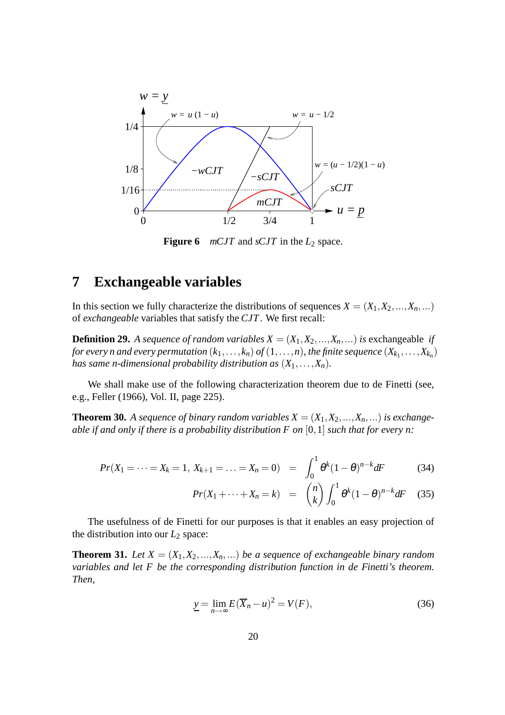

**Figure 6** *mCJT* and *sCJT* in the  $L_2$  space.

# **7 Exchangeable variables**

In this section we fully characterize the distributions of sequences  $X = (X_1, X_2, \ldots, X_n, \ldots)$ of *exchangeable* variables that satisfy the *CJT*. We first recall:

**Definition 29.** A sequence of random variables  $X = (X_1, X_2, \ldots, X_n, \ldots)$  is exchangeable *if for every n and every permutation*  $(k_1, \ldots, k_n)$  *of*  $(1, \ldots, n)$ *, the finite sequence*  $(X_{k_1}, \ldots, X_{k_n})$ *has same n-dimensional probability distribution as*  $(X_1, \ldots, X_n)$ *.* 

We shall make use of the following characterization theorem due to de Finetti (see, e.g., Feller (1966), Vol. II, page 225).

**Theorem 30.** A sequence of binary random variables  $X = (X_1, X_2, ..., X_n, ...)$  is exchange*able if and only if there is a probability distribution F on* [0,1] *such that for every n:*

$$
Pr(X_1 = \dots = X_k = 1, X_{k+1} = \dots = X_n = 0) = \int_0^1 \theta^k (1 - \theta)^{n-k} dF
$$
 (34)

$$
Pr(X_1 + \dots + X_n = k) = {n \choose k} \int_0^1 \theta^k (1 - \theta)^{n-k} dF \quad (35)
$$

The usefulness of de Finetti for our purposes is that it enables an easy projection of the distribution into our  $L_2$  space:

**Theorem 31.** *Let*  $X = (X_1, X_2, ..., X_n, ...)$  *be a sequence of exchangeable binary random variables and let F be the corresponding distribution function in de Finetti's theorem. Then,*

$$
\underline{y} = \lim_{n \to \infty} E(\overline{X}_n - u)^2 = V(F), \tag{36}
$$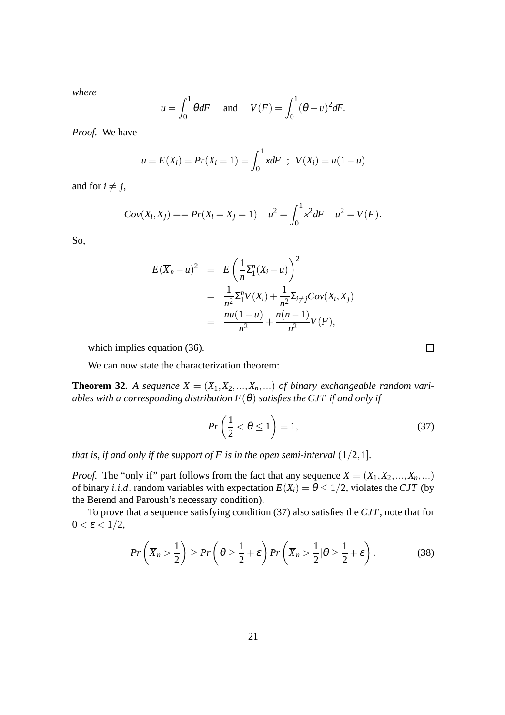*where*

$$
u = \int_0^1 \theta dF
$$
 and  $V(F) = \int_0^1 (\theta - u)^2 dF$ .

*Proof.* We have

$$
u = E(X_i) = Pr(X_i = 1) = \int_0^1 x dF \; ; \; V(X_i) = u(1 - u)
$$

and for  $i \neq j$ ,

$$
Cov(X_i, X_j) == Pr(X_i = X_j = 1) - u^2 = \int_0^1 x^2 dF - u^2 = V(F).
$$

So,

$$
E(\overline{X}_n - u)^2 = E\left(\frac{1}{n}\Sigma_1^n(X_i - u)\right)^2
$$
  
= 
$$
\frac{1}{n^2}\Sigma_1^n V(X_i) + \frac{1}{n^2}\Sigma_{i \neq j}Cov(X_i, X_j)
$$
  
= 
$$
\frac{nu(1 - u)}{n^2} + \frac{n(n - 1)}{n^2}V(F),
$$

which implies equation (36).

We can now state the characterization theorem:

**Theorem 32.** *A sequence*  $X = (X_1, X_2, ..., X_n, ...)$  *of binary exchangeable random variables with a corresponding distribution*  $F(\theta)$  *satisfies the CJT if and only if* 

$$
Pr\left(\frac{1}{2} < \theta \le 1\right) = 1,\tag{37}
$$

*that is, if and only if the support of F is in the open semi-interval*  $(1/2,1]$ *.* 

*Proof.* The "only if" part follows from the fact that any sequence  $X = (X_1, X_2, ..., X_n, ...)$ of binary *i*.*i*.*d*. random variables with expectation  $E(X_i) = \theta \leq 1/2$ , violates the CJT (by the Berend and Paroush's necessary condition).

To prove that a sequence satisfying condition (37) also satisfies the *CJT*, note that for  $0 < \varepsilon < 1/2$ ,

$$
Pr\left(\overline{X}_n > \frac{1}{2}\right) \ge Pr\left(\theta \ge \frac{1}{2} + \varepsilon\right) Pr\left(\overline{X}_n > \frac{1}{2} | \theta \ge \frac{1}{2} + \varepsilon\right). \tag{38}
$$

 $\Box$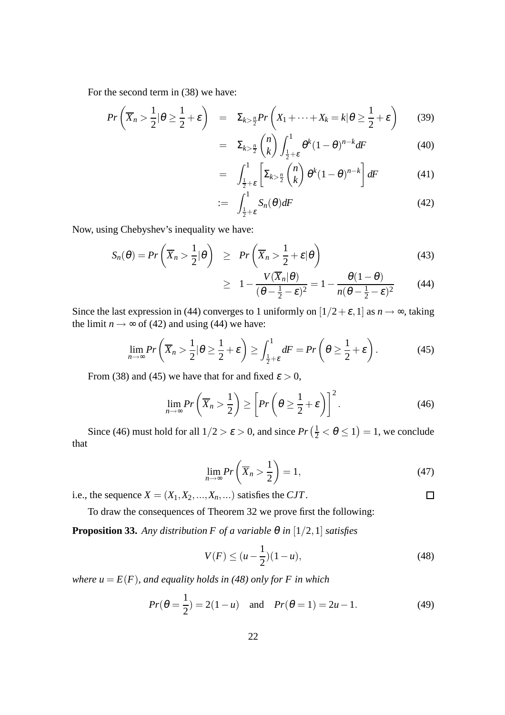For the second term in (38) we have:

$$
Pr\left(\overline{X}_n > \frac{1}{2} | \theta \ge \frac{1}{2} + \varepsilon\right) = \Sigma_{k > \frac{n}{2}} Pr\left(X_1 + \dots + X_k = k | \theta \ge \frac{1}{2} + \varepsilon\right) \tag{39}
$$

$$
= \Sigma_{k>\frac{n}{2}}\binom{n}{k}\int_{\frac{1}{2}+\varepsilon}^{1}\theta^k(1-\theta)^{n-k}dF
$$
 (40)

$$
= \int_{\frac{1}{2}+\varepsilon}^{1} \left[ \Sigma_{k>\frac{n}{2}} \binom{n}{k} \theta^{k} (1-\theta)^{n-k} \right] dF \tag{41}
$$

$$
:= \int_{\frac{1}{2}+\varepsilon}^{1} S_n(\theta) dF \tag{42}
$$

Now, using Chebyshev's inequality we have:

$$
S_n(\theta) = Pr\left(\overline{X}_n > \frac{1}{2} | \theta\right) \geq Pr\left(\overline{X}_n > \frac{1}{2} + \varepsilon | \theta\right)
$$
(43)

$$
\geq 1 - \frac{V(\overline{X}_n|\theta)}{(\theta - \frac{1}{2} - \varepsilon)^2} = 1 - \frac{\theta(1 - \theta)}{n(\theta - \frac{1}{2} - \varepsilon)^2} \qquad (44)
$$

Since the last expression in (44) converges to 1 uniformly on  $[1/2+\varepsilon, 1]$  as  $n \to \infty$ , taking the limit  $n \rightarrow \infty$  of (42) and using (44) we have:

$$
\lim_{n \to \infty} Pr\left(\overline{X}_n > \frac{1}{2} | \theta \ge \frac{1}{2} + \varepsilon\right) \ge \int_{\frac{1}{2} + \varepsilon}^1 dF = Pr\left(\theta \ge \frac{1}{2} + \varepsilon\right). \tag{45}
$$

From (38) and (45) we have that for and fixed  $\varepsilon > 0$ ,

$$
\lim_{n \to \infty} Pr\left(\overline{X}_n > \frac{1}{2}\right) \ge \left[Pr\left(\theta \ge \frac{1}{2} + \varepsilon\right)\right]^2. \tag{46}
$$

Since (46) must hold for all  $1/2 > \varepsilon > 0$ , and since  $Pr\left(\frac{1}{2} < \theta \le 1\right) = 1$ , we conclude that

$$
\lim_{n \to \infty} Pr\left(\overline{X}_n > \frac{1}{2}\right) = 1,\tag{47}
$$

 $\Box$ 

i.e., the sequence  $X = (X_1, X_2, \ldots, X_n, \ldots)$  satisfies the *CJT*.

To draw the consequences of Theorem 32 we prove first the following:

**Proposition 33.** *Any distribution F of a variable*  $\theta$  *in* [1/2, 1] *satisfies* 

$$
V(F) \le (u - \frac{1}{2})(1 - u),\tag{48}
$$

*where*  $u = E(F)$ *, and equality holds in (48) only for* F in which

$$
Pr(\theta = \frac{1}{2}) = 2(1 - u) \quad \text{and} \quad Pr(\theta = 1) = 2u - 1. \tag{49}
$$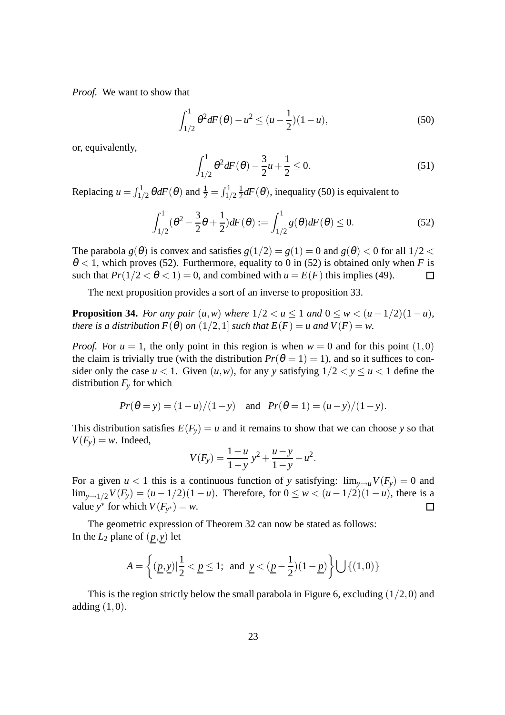*Proof.* We want to show that

$$
\int_{1/2}^{1} \theta^2 dF(\theta) - u^2 \le (u - \frac{1}{2})(1 - u),
$$
\n(50)

or, equivalently,

$$
\int_{1/2}^{1} \theta^2 dF(\theta) - \frac{3}{2}u + \frac{1}{2} \le 0.
$$
 (51)

Replacing  $u = \int_{1/2}^{1} \theta dF(\theta)$  and  $\frac{1}{2} = \int_{1/2}^{1}$ 1  $\frac{1}{2}$ *dF*( $\theta$ ), inequality (50) is equivalent to

$$
\int_{1/2}^{1} (\theta^2 - \frac{3}{2}\theta + \frac{1}{2}) dF(\theta) := \int_{1/2}^{1} g(\theta) dF(\theta) \le 0.
$$
 (52)

The parabola  $g(\theta)$  is convex and satisfies  $g(1/2) = g(1) = 0$  and  $g(\theta) < 0$  for all  $1/2 <$  $\theta$  < 1, which proves (52). Furthermore, equality to 0 in (52) is obtained only when *F* is such that  $Pr(1/2 < \theta < 1) = 0$ , and combined with  $u = E(F)$  this implies (49).  $\Box$ 

The next proposition provides a sort of an inverse to proposition 33.

**Proposition 34.** *For any pair*  $(u, w)$  *where*  $1/2 < u \le 1$  *and*  $0 \le w < (u - 1/2)(1 - u)$ *, there is a distribution*  $F(\theta)$  *on*  $(1/2, 1]$  *such that*  $E(F) = u$  *and*  $V(F) = w$ .

*Proof.* For  $u = 1$ , the only point in this region is when  $w = 0$  and for this point  $(1,0)$ the claim is trivially true (with the distribution  $Pr(\theta = 1) = 1)$ , and so it suffices to consider only the case  $u < 1$ . Given  $(u, w)$ , for any *y* satisfying  $1/2 < y \le u < 1$  define the distribution  $F_\nu$  for which

$$
Pr(\theta = y) = (1 - u)/(1 - y)
$$
 and  $Pr(\theta = 1) = (u - y)/(1 - y)$ .

This distribution satisfies  $E(F_v) = u$  and it remains to show that we can choose *y* so that  $V(F_v) = w$ . Indeed,

$$
V(F_y) = \frac{1-u}{1-y} y^2 + \frac{u-y}{1-y} - u^2.
$$

For a given  $u < 1$  this is a continuous function of *y* satisfying:  $\lim_{y\to u}V(F_y) = 0$  and lim<sub>*y*→1/2</sub>*V*(*F<sub>y</sub>*) = (*u* − 1/2)(1 − *u*). Therefore, for  $0 \le w < (u - 1/2)(1 - u)$ , there is a value  $y^*$  for which *V*(*F<sub>y<sup>\*</sub>*</sup>) = *w*.</sub> value *y*<sup>\*</sup> for which  $V(F_{y^*}) = w$ .

The geometric expression of Theorem 32 can now be stated as follows: In the  $L_2$  plane of  $(p, y)$  let

$$
A = \left\{ (\underline{p}, \underline{y}) | \frac{1}{2} < \underline{p} \le 1; \text{ and } \underline{y} < (\underline{p} - \frac{1}{2})(1 - \underline{p}) \right\} \bigcup \left\{ (1, 0) \right\}
$$

This is the region strictly below the small parabola in Figure 6, excluding  $(1/2,0)$  and adding  $(1,0)$ .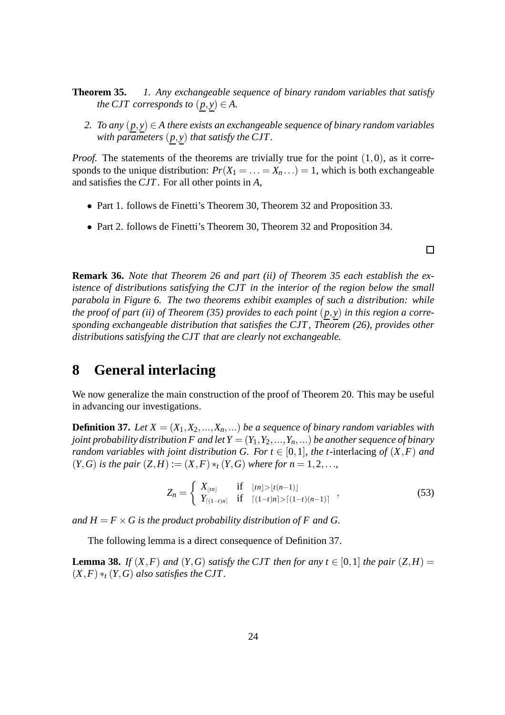- **Theorem 35.** *1. Any exchangeable sequence of binary random variables that satisfy the CJT corresponds to*  $(p, y) \in A$ .
	- *2. To any*  $(p, y) \in A$  *there exists an exchangeable sequence of binary random variables with parameters*  $(p, y)$  *that satisfy the CJT.*

*Proof.* The statements of the theorems are trivially true for the point  $(1,0)$ , as it corresponds to the unique distribution:  $Pr(X_1 = ... = X_n ...) = 1$ , which is both exchangeable and satisfies the *CJT*. For all other points in *A*,

- Part 1. follows de Finetti's Theorem 30, Theorem 32 and Proposition 33.
- Part 2. follows de Finetti's Theorem 30, Theorem 32 and Proposition 34.

 $\Box$ 

**Remark 36.** *Note that Theorem 26 and part (ii) of Theorem 35 each establish the existence of distributions satisfying the CJT in the interior of the region below the small parabola in Figure 6. The two theorems exhibit examples of such a distribution: while the proof of part (ii) of Theorem (35) provides to each point* (*p*, *y*) *in this region a corresponding exchangeable distribution that satisfies the CJT , Theorem (26), provides other distributions satisfying the CJT that are clearly not exchangeable.*

# **8 General interlacing**

We now generalize the main construction of the proof of Theorem 20. This may be useful in advancing our investigations.

**Definition 37.** *Let*  $X = (X_1, X_2, ..., X_n, ...)$  *be a sequence of binary random variables with joint probability distribution F and let*  $Y = (Y_1, Y_2, ..., Y_n, ...)$  *be another sequence of binary random variables with joint distribution G. For*  $t \in [0,1]$ *, the t-interlacing of*  $(X, F)$  *and*  $(Y, G)$  *is the pair*  $(Z, H) := (X, F) *_{t} (Y, G)$  *where for n* = 1,2, ...

$$
Z_n = \begin{cases} X_{\lfloor tn \rfloor} & \text{if } \lfloor tn \rfloor > \lfloor t(n-1) \rfloor \\ Y_{\lceil (1-t)n \rceil} & \text{if } \lceil (1-t)n \rceil > \lceil (1-t)(n-1) \rceil \end{cases} \tag{53}
$$

*and*  $H = F \times G$  *is the product probability distribution of* F and G.

The following lemma is a direct consequence of Definition 37.

**Lemma 38.** *If*  $(X, F)$  *and*  $(Y, G)$  *satisfy the CJT then for any*  $t \in [0, 1]$  *the pair*  $(Z, H) =$  $(X, F) *_{t} (Y, G)$  *also satisfies the CJT*.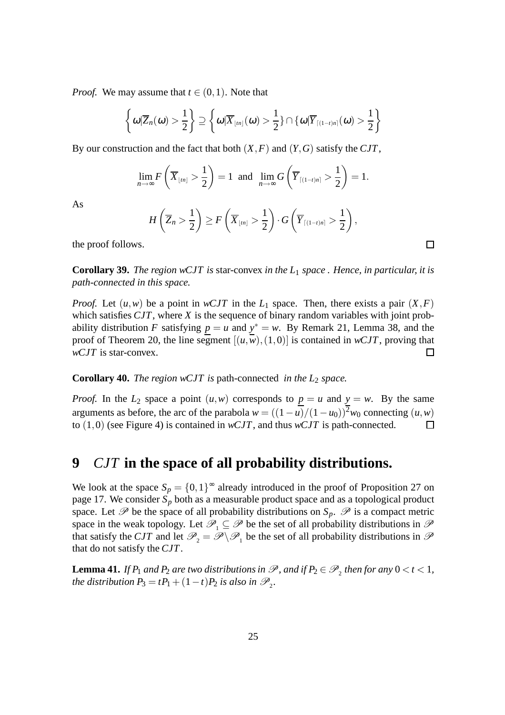*Proof.* We may assume that  $t \in (0,1)$ . Note that

$$
\left\{\omega|\overline{Z}_n(\omega)>\frac{1}{2}\right\}\supseteq \left\{\omega|\overline{X}_{\lfloor tn\rfloor}(\omega)>\frac{1}{2}\right\}\cap\left\{\omega|\overline{Y}_{\lceil(1-t)n\rceil}(\omega)>\frac{1}{2}\right\}
$$

By our construction and the fact that both (*X*,*F*) and (*Y*,*G*) satisfy the *CJT*,

$$
\lim_{n\to\infty} F\left(\overline{X}_{\lfloor tn\rfloor} > \frac{1}{2}\right) = 1 \text{ and } \lim_{n\to\infty} G\left(\overline{Y}_{\lceil(1-t)n\rceil} > \frac{1}{2}\right) = 1.
$$

As

$$
H\left(\overline{Z}_n > \frac{1}{2}\right) \geq F\left(\overline{X}_{\lfloor t n \rfloor} > \frac{1}{2}\right) \cdot G\left(\overline{Y}_{\lceil (1-t)n \rceil} > \frac{1}{2}\right),
$$

the proof follows.

**Corollary 39.** *The region wCJT is* star-convex *in the L*<sup>1</sup> *space . Hence, in particular, it is path-connected in this space.*

*Proof.* Let  $(u, w)$  be a point in *wCJT* in the  $L_1$  space. Then, there exists a pair  $(X, F)$ which satisfies *CJT*, where *X* is the sequence of binary random variables with joint probability distribution *F* satisfying  $p = u$  and  $y^* = w$ . By Remark 21, Lemma 38, and the proof of Theorem 20, the line segment  $[(u, w), (1, 0)]$  is contained in *wCJT*, proving that *wCJT* is star-convex.  $\Box$ 

**Corollary 40.** *The region wCJT is* path-connected *in the L*<sup>2</sup> *space.*

*Proof.* In the  $L_2$  space a point  $(u, w)$  corresponds to  $\underline{p} = u$  and  $\underline{y} = w$ . By the same arguments as before, the arc of the parabola  $w = ((1 - u)/(1 - u_0))^2 w_0$  connecting  $(u, w)$ <br>to (1,0) (see Figure 4) is contained in *wCJT*, and thus *wCJT* is path-connected. to (1,0) (see Figure 4) is contained in *wCJT*, and thus *wCJT* is path-connected.

# **9** *CJT* **in the space of all probability distributions.**

We look at the space  $S_p = \{0, 1\}^\infty$  already introduced in the proof of Proposition 27 on page 17. We consider *S<sup>p</sup>* both as a measurable product space and as a topological product space. Let  $\mathscr P$  be the space of all probability distributions on  $S_p$ .  $\mathscr P$  is a compact metric space in the weak topology. Let  $\mathscr{P}_1 \subseteq \mathscr{P}$  be the set of all probability distributions in  $\mathscr{P}$ that satisfy the *CJT* and let  $\mathcal{P}_2 = \mathcal{P} \setminus \mathcal{P}_1$  be the set of all probability distributions in  $\mathcal{P}$ that do not satisfy the *CJT*.

**Lemma 41.** *If*  $P_1$  *and*  $P_2$  *are two distributions in*  $\mathscr{P}$ *, and if*  $P_2 \in \mathscr{P}_2$  *then for any*  $0 < t < 1$ *, the distribution*  $P_3 = tP_1 + (1-t)P_2$  *is also in*  $\mathscr{P}_2$ *.* 

 $\Box$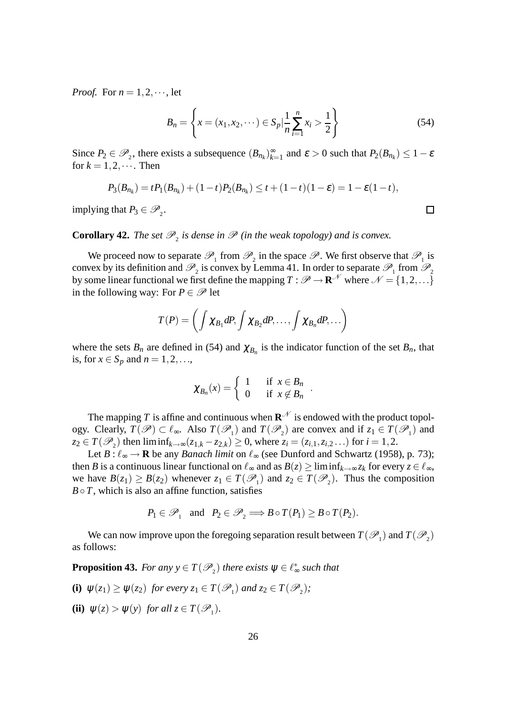*Proof.* For  $n = 1, 2, \dots$ , let

$$
B_n = \left\{ x = (x_1, x_2, \cdots) \in S_p \mid \frac{1}{n} \sum_{i=1}^n x_i > \frac{1}{2} \right\}
$$
 (54)

Since  $P_2 \in \mathcal{P}_2$ , there exists a subsequence  $(B_{n_k})_{k=1}^{\infty}$  $\sum_{k=1}^{\infty}$  and  $\varepsilon > 0$  such that  $P_2(B_{n_k}) \leq 1 - \varepsilon$ for  $k = 1, 2, \cdots$ . Then

$$
P_3(B_{n_k}) = t P_1(B_{n_k}) + (1-t) P_2(B_{n_k}) \le t + (1-t)(1-\varepsilon) = 1 - \varepsilon(1-t),
$$

implying that  $P_3 \in \mathcal{P}_2$ .

# **Corollary 42.** *The set*  $\mathcal{P}_2$  *is dense in*  $\mathcal{P}$  *(in the weak topology) and is convex.*

We proceed now to separate  $\mathcal{P}_1$  from  $\mathcal{P}_2$  in the space  $\mathcal{P}$ . We first observe that  $\mathcal{P}_1$  is convex by its definition and  $\mathcal{P}_2$  is convex by Lemma 41. In order to separate  $\mathcal{P}_1$  from  $\mathcal{P}_2$ by some linear functional we first define the mapping  $T : \mathscr{P} \to \mathbb{R}^N$  where  $\mathscr{N} = \{1, 2, ...\}$ in the following way: For  $P \in \mathscr{P}$  let

$$
T(P) = \left(\int \chi_{B_1} dP, \int \chi_{B_2} dP, \ldots, \int \chi_{B_n} dP, \ldots\right)
$$

where the sets  $B_n$  are defined in (54) and  $\chi_{B_n}$  is the indicator function of the set  $B_n$ , that is, for  $x \in S_p$  and  $n = 1, 2, \ldots$ ,

$$
\chi_{B_n}(x) = \begin{cases} 1 & \text{if } x \in B_n \\ 0 & \text{if } x \notin B_n \end{cases}
$$

.

The mapping *T* is affine and continuous when  $\mathbf{R}^{\mathcal{N}}$  is endowed with the product topology. Clearly,  $T(\mathscr{P}) \subset \ell_{\infty}$ . Also  $T(\mathscr{P}_1)$  and  $T(\mathscr{P}_2)$  are convex and if  $z_1 \in T(\mathscr{P}_1)$  and *z*<sub>2</sub> ∈ *T*( $\mathcal{P}_2$ ) then liminf<sub>*k*→∞</sub>(*z*<sub>1,*k*</sub> − *z*<sub>2,*k*</sub>) ≥ 0, where *z*<sub>*i*</sub> = (*z*<sub>*i*,1</sub>,*z*<sub>*i*,2</sub>...) for *i* = 1,2.

Let  $B: \ell_{\infty} \to \mathbf{R}$  be any *Banach limit* on  $\ell_{\infty}$  (see Dunford and Schwartz (1958), p. 73); then *B* is a continuous linear functional on  $\ell_{\infty}$  and as  $B(z) \ge \liminf_{k \to \infty} z_k$  for every  $z \in \ell_{\infty}$ , we have  $B(z_1) \ge B(z_2)$  whenever  $z_1 \in T(\mathcal{P}_1)$  and  $z_2 \in T(\mathcal{P}_2)$ . Thus the composition  $B \circ T$ , which is also an affine function, satisfies

$$
P_1 \in \mathcal{P}_1
$$
 and  $P_2 \in \mathcal{P}_2 \Longrightarrow B \circ T(P_1) \geq B \circ T(P_2)$ .

We can now improve upon the foregoing separation result between  $T(\mathscr{P}_1)$  and  $T(\mathscr{P}_2)$ as follows:

**Proposition 43.** *For any*  $y \in T(\mathscr{P}_2)$  *there exists*  $\psi \in \ell_{\infty}^*$  *such that* 

- **(i)**  $\psi(z_1) \ge \psi(z_2)$  for every  $z_1 \in T(\mathcal{P}_1)$  and  $z_2 \in T(\mathcal{P}_2)$ ;
- **(ii)**  $\psi(z) > \psi(y)$  *for all*  $z \in T(\mathcal{P}_1)$ *.*

 $\Box$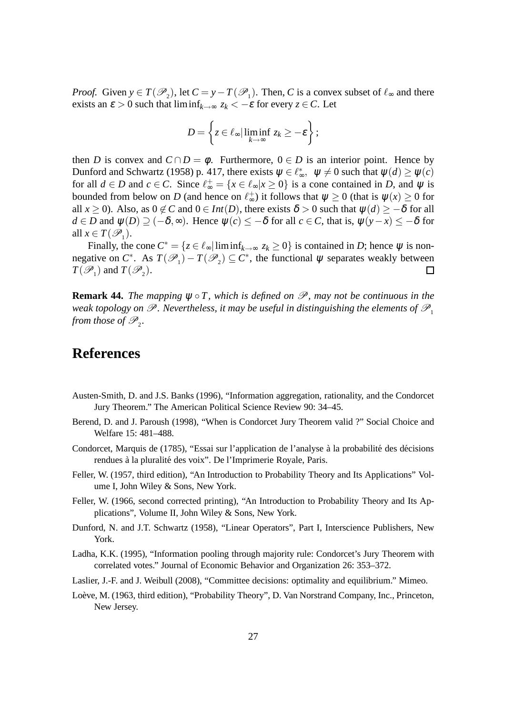*Proof.* Given  $y \in T(\mathcal{P}_2)$ , let  $C = y - T(\mathcal{P}_1)$ . Then, *C* is a convex subset of  $\ell_{\infty}$  and there exists an  $\varepsilon > 0$  such that  $\liminf_{k \to \infty} z_k < -\varepsilon$  for every  $z \in C$ . Let

$$
D=\left\{z\in\ell_{\infty}|\liminf_{k\to\infty}z_k\geq-\varepsilon\right\};
$$

then *D* is convex and  $C \cap D = \phi$ . Furthermore,  $0 \in D$  is an interior point. Hence by Dunford and Schwartz (1958) p. 417, there exists  $\psi \in \ell_{\infty}^*$ ,  $\psi \neq 0$  such that  $\psi(d) \geq \psi(c)$ for all  $d \in D$  and  $c \in C$ . Since  $\ell_{\infty}^+ = \{x \in \ell_{\infty} | x \ge 0\}$  is a cone contained in *D*, and  $\psi$  is bounded from below on *D* (and hence on  $\ell_{\infty}^{+}$ ) it follows that  $\psi \ge 0$  (that is  $\psi(x) \ge 0$  for all  $x \ge 0$ ). Also, as  $0 \notin C$  and  $0 \in Int(D)$ , there exists  $\delta > 0$  such that  $\psi(d) \ge -\delta$  for all *d* ∈ *D* and  $\psi$ (*D*)  $\supseteq$  (− $\delta$ ,∞). Hence  $\psi$ (*c*)  $\leq$  − $\delta$  for all *c* ∈ *C*, that is,  $\psi$ (*y* − *x*)  $\leq$  − $\delta$  for all  $x \in T(\mathscr{P}_1)$ .

Finally, the cone  $C^* = \{z \in \ell_{\infty} | \liminf_{k \to \infty} z_k \ge 0\}$  is contained in *D*; hence  $\psi$  is nonnegative on  $C^*$ . As  $T(\mathcal{P}_1) - T(\mathcal{P}_2) \subseteq C^*$ , the functional  $\psi$  separates weakly between  $T(\mathscr{P}_1)$  and  $T(\mathscr{P}_2)$ .  $\Box$ 

**Remark 44.** *The mapping*  $\psi \circ T$ *, which is defined on*  $\mathcal{P}$ *, may not be continuous in the weak topology on*  $\mathscr P$ *. Nevertheless, it may be useful in distinguishing the elements of*  $\mathscr P_1$ *from those of*  $\mathscr{P}_2$ .

# **References**

- Austen-Smith, D. and J.S. Banks (1996), "Information aggregation, rationality, and the Condorcet Jury Theorem." The American Political Science Review 90: 34–45.
- Berend, D. and J. Paroush (1998), "When is Condorcet Jury Theorem valid ?" Social Choice and Welfare 15: 481–488.
- Condorcet, Marquis de (1785), "Essai sur l'application de l'analyse à la probabilité des décisions rendues à la pluralité des voix". De l'Imprimerie Royale, Paris.
- Feller, W. (1957, third edition), "An Introduction to Probability Theory and Its Applications" Volume I, John Wiley & Sons, New York.
- Feller, W. (1966, second corrected printing), "An Introduction to Probability Theory and Its Applications", Volume II, John Wiley & Sons, New York.
- Dunford, N. and J.T. Schwartz (1958), "Linear Operators", Part I, Interscience Publishers, New York.
- Ladha, K.K. (1995), "Information pooling through majority rule: Condorcet's Jury Theorem with correlated votes." Journal of Economic Behavior and Organization 26: 353–372.
- Laslier, J.-F. and J. Weibull (2008), "Committee decisions: optimality and equilibrium." Mimeo.
- Loève, M. (1963, third edition), "Probability Theory", D. Van Norstrand Company, Inc., Princeton, New Jersey.